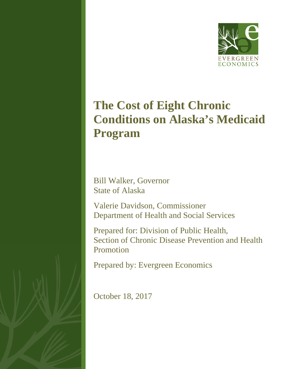

# **The Cost of Eight Chronic Conditions on Alaska's Medicaid Program**

Bill Walker, Governor State of Alaska

Valerie Davidson, Commissioner Department of Health and Social Services

Prepared for: Division of Public Health, Section of Chronic Disease Prevention and Health Promotion

Prepared by: Evergreen Economics

October 18, 2017

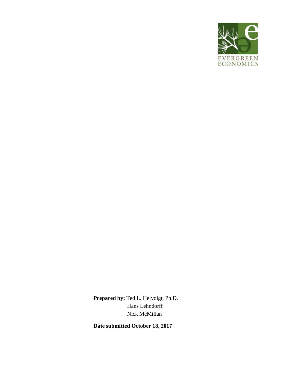

**Prepared by:** Ted L. Helvoigt, Ph.D. Hans Lehndorff Nick McMillan

**Date submitted October 18, 2017**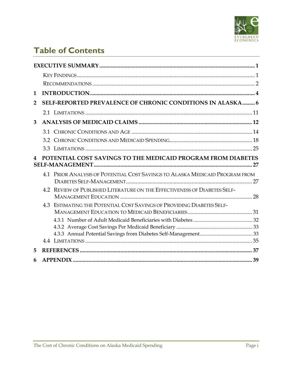

# **Table of Contents**

| $\mathbf{1}$   |                                                                              |  |
|----------------|------------------------------------------------------------------------------|--|
| $\overline{2}$ | <b>SELF-REPORTED PREVALENCE OF CHRONIC CONDITIONS IN ALASKA 6</b>            |  |
|                |                                                                              |  |
| 3              |                                                                              |  |
|                |                                                                              |  |
|                |                                                                              |  |
|                | 3.3                                                                          |  |
| 4              | POTENTIAL COST SAVINGS TO THE MEDICAID PROGRAM FROM DIABETES                 |  |
|                | 4.1 PRIOR ANALYSIS OF POTENTIAL COST SAVINGS TO ALASKA MEDICAID PROGRAM FROM |  |
|                | REVIEW OF PUBLISHED LITERATURE ON THE EFFECTIVENESS OF DIABETES SELF-<br>42  |  |
|                | ESTIMATING THE POTENTIAL COST SAVINGS OF PROVIDING DIABETES SELF-<br>43      |  |
|                |                                                                              |  |
|                |                                                                              |  |
|                |                                                                              |  |
|                |                                                                              |  |
| 5              |                                                                              |  |
| 6              |                                                                              |  |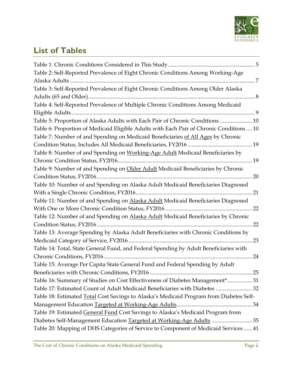

# **List of Tables**

| Table 2: Self-Reported Prevalence of Eight Chronic Conditions Among Working-Age          |  |
|------------------------------------------------------------------------------------------|--|
|                                                                                          |  |
| Table 3: Self-Reported Prevalence of Eight Chronic Conditions Among Older Alaska         |  |
|                                                                                          |  |
| Table 4: Self-Reported Prevalence of Multiple Chronic Conditions Among Medicaid          |  |
|                                                                                          |  |
| Table 5: Proportion of Alaska Adults with Each Pair of Chronic Conditions  10            |  |
| Table 6: Proportion of Medicaid Eligible Adults with Each Pair of Chronic Conditions  10 |  |
| Table 7: Number of and Spending on Medicaid Beneficiaries of All Ages by Chronic         |  |
|                                                                                          |  |
| Table 8: Number of and Spending on Working-Age Adult Medicaid Beneficiaries by           |  |
|                                                                                          |  |
| Table 9: Number of and Spending on Older Adult Medicaid Beneficiaries by Chronic         |  |
|                                                                                          |  |
| Table 10: Number of and Spending on Alaska Adult Medicaid Beneficiaries Diagnosed        |  |
|                                                                                          |  |
| Table 11: Number of and Spending on Alaska Adult Medicaid Beneficiaries Diagnosed        |  |
|                                                                                          |  |
| Table 12: Number of and Spending on Alaska Adult Medicaid Beneficiaries by Chronic       |  |
| 22                                                                                       |  |
| Table 13: Average Spending by Alaska Adult Beneficiaries with Chronic Conditions by      |  |
| 23                                                                                       |  |
| Table 14: Total, State General Fund, and Federal Spending by Adult Beneficiaries with    |  |
| 24                                                                                       |  |
| Table 15: Average Per Capita State General Fund and Federal Spending by Adult            |  |
|                                                                                          |  |
| Table 16: Summary of Studies on Cost Effectiveness of Diabetes Management* 31            |  |
| Table 17: Estimated Count of Adult Medicaid Beneficiaries with Diabetes 32               |  |
| Table 18: Estimated Total Cost Savings to Alaska's Medicaid Program from Diabetes Self-  |  |
|                                                                                          |  |
| Table 19: Estimated General Fund Cost Savings to Alaska's Medicaid Program from          |  |
| Diabetes Self-Management Education Targeted at Working-Age Adults  35                    |  |
| Table 20: Mapping of DHS Categories of Service to Component of Medicaid Services  41     |  |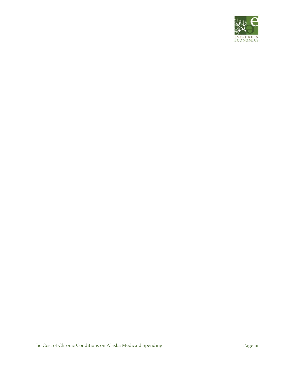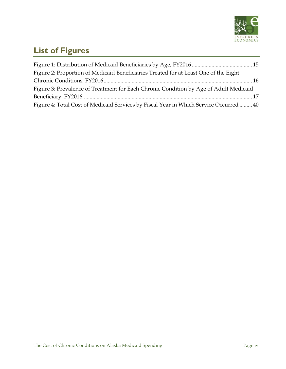

# **List of Figures**

| Figure 2: Proportion of Medicaid Beneficiaries Treated for at Least One of the Eight   |  |
|----------------------------------------------------------------------------------------|--|
|                                                                                        |  |
| Figure 3: Prevalence of Treatment for Each Chronic Condition by Age of Adult Medicaid  |  |
|                                                                                        |  |
| Figure 4: Total Cost of Medicaid Services by Fiscal Year in Which Service Occurred  40 |  |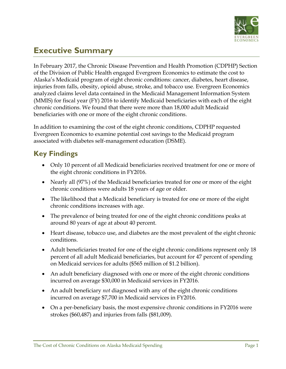

# **Executive Summary**

In February 2017, the Chronic Disease Prevention and Health Promotion (CDPHP) Section of the Division of Public Health engaged Evergreen Economics to estimate the cost to Alaska's Medicaid program of eight chronic conditions: cancer, diabetes, heart disease, injuries from falls, obesity, opioid abuse, stroke, and tobacco use. Evergreen Economics analyzed claims level data contained in the Medicaid Management Information System (MMIS) for fiscal year (FY) 2016 to identify Medicaid beneficiaries with each of the eight chronic conditions. We found that there were more than 18,000 adult Medicaid beneficiaries with one or more of the eight chronic conditions.

In addition to examining the cost of the eight chronic conditions, CDPHP requested Evergreen Economics to examine potential cost savings to the Medicaid program associated with diabetes self-management education (DSME).

# **Key Findings**

- Only 10 percent of all Medicaid beneficiaries received treatment for one or more of the eight chronic conditions in FY2016.
- Nearly all (97%) of the Medicaid beneficiaries treated for one or more of the eight chronic conditions were adults 18 years of age or older.
- The likelihood that a Medicaid beneficiary is treated for one or more of the eight chronic conditions increases with age.
- The prevalence of being treated for one of the eight chronic conditions peaks at around 80 years of age at about 40 percent.
- Heart disease, tobacco use, and diabetes are the most prevalent of the eight chronic conditions.
- Adult beneficiaries treated for one of the eight chronic conditions represent only 18 percent of all adult Medicaid beneficiaries, but account for 47 percent of spending on Medicaid services for adults (\$565 million of \$1.2 billion).
- An adult beneficiary diagnosed with one or more of the eight chronic conditions incurred on average \$30,000 in Medicaid services in FY2016.
- An adult beneficiary *not* diagnosed with any of the eight chronic conditions incurred on average \$7,700 in Medicaid services in FY2016.
- On a per-beneficiary basis, the most expensive chronic conditions in FY2016 were strokes (\$60,487) and injuries from falls (\$81,009).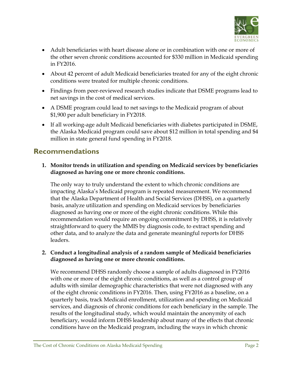

- Adult beneficiaries with heart disease alone or in combination with one or more of the other seven chronic conditions accounted for \$330 million in Medicaid spending in FY2016.
- About 42 percent of adult Medicaid beneficiaries treated for any of the eight chronic conditions were treated for multiple chronic conditions.
- Findings from peer-reviewed research studies indicate that DSME programs lead to net savings in the cost of medical services.
- A DSME program could lead to net savings to the Medicaid program of about \$1,900 per adult beneficiary in FY2018.
- If all working-age adult Medicaid beneficiaries with diabetes participated in DSME, the Alaska Medicaid program could save about \$12 million in total spending and \$4 million in state general fund spending in FY2018.

### **Recommendations**

**1. Monitor trends in utilization and spending on Medicaid services by beneficiaries diagnosed as having one or more chronic conditions.**

The only way to truly understand the extent to which chronic conditions are impacting Alaska's Medicaid program is repeated measurement. We recommend that the Alaska Department of Health and Social Services (DHSS), on a quarterly basis, analyze utilization and spending on Medicaid services by beneficiaries diagnosed as having one or more of the eight chronic conditions. While this recommendation would require an ongoing commitment by DHSS, it is relatively straightforward to query the MMIS by diagnosis code, to extract spending and other data, and to analyze the data and generate meaningful reports for DHSS leaders.

#### **2. Conduct a longitudinal analysis of a random sample of Medicaid beneficiaries diagnosed as having one or more chronic conditions.**

We recommend DHSS randomly choose a sample of adults diagnosed in FY2016 with one or more of the eight chronic conditions, as well as a control group of adults with similar demographic characteristics that were not diagnosed with any of the eight chronic conditions in FY2016. Then, using FY2016 as a baseline, on a quarterly basis, track Medicaid enrollment, utilization and spending on Medicaid services, and diagnosis of chronic conditions for each beneficiary in the sample. The results of the longitudinal study, which would maintain the anonymity of each beneficiary, would inform DHSS leadership about many of the effects that chronic conditions have on the Medicaid program, including the ways in which chronic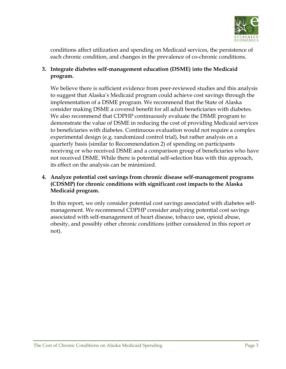

conditions affect utilization and spending on Medicaid services, the persistence of each chronic condition, and changes in the prevalence of co-chronic conditions.

#### **3. Integrate diabetes self-management education (DSME) into the Medicaid program.**

We believe there is sufficient evidence from peer-reviewed studies and this analysis to suggest that Alaska's Medicaid program could achieve cost savings through the implementation of a DSME program. We recommend that the State of Alaska consider making DSME a covered benefit for all adult beneficiaries with diabetes. We also recommend that CDPHP continuously evaluate the DSME program to demonstrate the value of DSME in reducing the cost of providing Medicaid services to beneficiaries with diabetes. Continuous evaluation would not require a complex experimental design (e.g. randomized control trial), but rather analysis on a quarterly basis (similar to Recommendation 2) of spending on participants receiving or who received DSME and a comparison group of beneficiaries who have not received DSME. While there is potential self-selection bias with this approach, its effect on the analysis can be minimized.

#### **4. Analyze potential cost savings from chronic disease self-management programs (CDSMP) for chronic conditions with significant cost impacts to the Alaska Medicaid program.**

In this report, we only consider potential cost savings associated with diabetes selfmanagement. We recommend CDPHP consider analyzing potential cost savings associated with self-management of heart disease, tobacco use, opioid abuse, obesity, and possibly other chronic conditions (either considered in this report or not).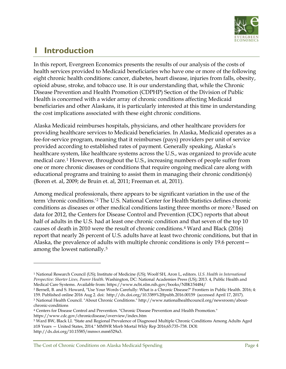

# **1 Introduction**

In this report, Evergreen Economics presents the results of our analysis of the costs of health services provided to Medicaid beneficiaries who have one or more of the following eight chronic health conditions: cancer, diabetes, heart disease, injuries from falls, obesity, opioid abuse, stroke, and tobacco use. It is our understanding that, while the Chronic Disease Prevention and Health Promotion (CDPHP) Section of the Division of Public Health is concerned with a wider array of chronic conditions affecting Medicaid beneficiaries and other Alaskans, it is particularly interested at this time in understanding the cost implications associated with these eight chronic conditions.

Alaska Medicaid reimburses hospitals, physicians, and other healthcare providers for providing healthcare services to Medicaid beneficiaries. In Alaska, Medicaid operates as a fee-for-service program, meaning that it reimburses (pays) providers per unit of service provided according to established rates of payment. Generally speaking, Alaska's healthcare system, like healthcare systems across the U.S., was organized to provide acute medical care.[1](#page-9-0) However, throughout the U.S., increasing numbers of people suffer from one or more chronic diseases or conditions that require ongoing medical care along with educational programs and training to assist them in managing their chronic condition(s) (Boren et. al, 2009; de Bruin et. al, 2011; Freeman et. al, 2011).

Among medical professionals, there appears to be significant variation in the use of the term 'chronic conditions.'[2](#page-9-1) The U.S. National Center for Health Statistics defines chronic conditions as diseases or other medical conditions lasting three months or more.[3](#page-9-2) Based on data for 2012, the Centers for Disease Control and Prevention (CDC) reports that about half of adults in the U.S. had at least one chronic condition and that seven of the top 10 causes of death in 2010 were the result of chronic conditions.[4](#page-9-3) Ward and Black (2016) report that nearly 26 percent of U.S. adults have at least two chronic conditions, but that in Alaska, the prevalence of adults with multiple chronic conditions is only 19.6 percent among the lowest nationally.[5](#page-9-4)

<span id="page-9-0"></span><sup>1</sup> National Research Council (US); Institute of Medicine (US); Woolf SH, Aron L, editors. *U.S. Health in International Perspective: Shorter Lives, Poorer Health*. Washington, DC: National Academies Press (US); 2013. 4, Public Health and Medical Care Systems. Available from: https://www.ncbi.nlm.nih.gov/books/NBK154484/

<span id="page-9-1"></span><sup>2</sup> Bernell, B. and S. Howard, "Use Your Words Carefully: What is a Chronic Disease?" Frontiers in Public Health. 2016; 4: 159. Published online 2016 Aug 2. doi: http://dx.doi.org/10.3389%2ffpubh.2016.00159 (accessed April 17, 2017).

<span id="page-9-2"></span><sup>3</sup> National Health Council. "About Chronic Conditions." http://www.nationalhealthcouncil.org/newsroom/aboutchronic-conditions

<span id="page-9-3"></span><sup>4</sup> Centers for Disease Control and Prevention. "Chronic Disease Prevention and Health Promotion."

https://www.cdc.gov/chronicdisease/overview/index.htm

<span id="page-9-4"></span><sup>5</sup> Ward BW, Black LI. "State and Regional Prevalence of Diagnosed Multiple Chronic Conditions Among Adults Aged ≥18 Years — United States, 2014." MMWR Morb Mortal Wkly Rep 2016;65:735–738. DOI: http://dx.doi.org/10.15585/mmwr.mm6529a3.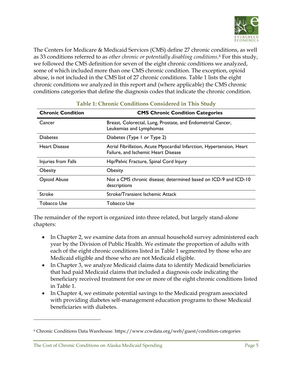

The Centers for Medicare & Medicaid Services (CMS) define 27 chronic conditions, as well as 33 conditions referred to as *other chronic or potentially disabling conditions*.[6](#page-10-1) For this study, we followed the CMS definition for seven of the eight chronic conditions we analyzed, some of which included more than one CMS chronic condition. The exception, opioid abuse, is not included in the CMS list of 27 chronic conditions. [Table 1](#page-10-0) lists the eight chronic conditions we analyzed in this report and (where applicable) the CMS chronic conditions categories that define the diagnosis codes that indicate the chronic condition.

<span id="page-10-0"></span>

| <b>Chronic Condition</b> | <b>CMS Chronic Condition Categories</b>                                                                      |
|--------------------------|--------------------------------------------------------------------------------------------------------------|
| Cancer                   | Breast, Colorectal, Lung, Prostate, and Endometrial Cancer,<br>Leukemias and Lymphomas                       |
| <b>Diabetes</b>          | Diabetes (Type I or Type 2)                                                                                  |
| <b>Heart Disease</b>     | Atrial Fibrillation, Acute Myocardial Infarction, Hypertension, Heart<br>Failure, and Ischemic Heart Disease |
| Injuries from Falls      | Hip/Pelvic Fracture, Spinal Cord Injury                                                                      |
| Obesity                  | Obesity                                                                                                      |
| <b>Opioid Abuse</b>      | Not a CMS chronic disease; determined based on ICD-9 and ICD-10<br>descriptions                              |
| Stroke                   | Stroke/Transient Ischemic Attack                                                                             |
| Tobacco Use              | Tobacco Use                                                                                                  |
|                          |                                                                                                              |

#### **Table 1: Chronic Conditions Considered in This Study**

The remainder of the report is organized into three related, but largely stand-alone chapters:

- In Chapter 2, we examine data from an annual household survey administered each year by the Division of Public Health. We estimate the proportion of adults with each of the eight chronic conditions listed in [Table 1](#page-10-0) segmented by those who are Medicaid eligible and those who are not Medicaid eligible.
- In Chapter 3, we analyze Medicaid claims data to identify Medicaid beneficiaries that had paid Medicaid claims that included a diagnosis code indicating the beneficiary received treatment for one or more of the eight chronic conditions listed in [Table 1.](#page-10-0)
- In Chapter 4, we estimate potential savings to the Medicaid program associated with providing diabetes self-management education programs to those Medicaid beneficiaries with diabetes.

<span id="page-10-1"></span><sup>6</sup> Chronic Conditions Data Warehouse. https://www.ccwdata.org/web/guest/condition-categories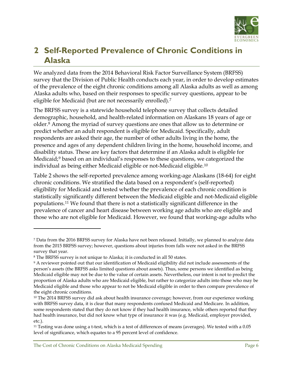

# **2 Self-Reported Prevalence of Chronic Conditions in Alaska**

We analyzed data from the 2014 Behavioral Risk Factor Surveillance System (BRFSS) survey that the Division of Public Health conducts each year, in order to develop estimates of the prevalence of the eight chronic conditions among all Alaska adults as well as among Alaska adults who, based on their responses to specific survey questions, appear to be eligible for Medicaid (but are not necessarily enrolled).[7](#page-11-0) 

The BRFSS survey is a statewide household telephone survey that collects detailed demographic, household, and health-related information on Alaskans 18 years of age or older.[8](#page-11-1) Among the myriad of survey questions are ones that allow us to determine or predict whether an adult respondent is eligible for Medicaid. Specifically, adult respondents are asked their age, the number of other adults living in the home, the presence and ages of any dependent children living in the home, household income, and disability status. These are key factors that determine if an Alaska adult is eligible for Medicaid;<sup>[9](#page-11-2)</sup> based on an individual's responses to these questions, we categorized the individual as being either Medicaid eligible or not-Medicaid eligible.[10](#page-11-3)

[Table 2](#page-12-0) shows the self-reported prevalence among working-age Alaskans (18-64) for eight chronic conditions. We stratified the data based on a respondent's (self-reported) eligibility for Medicaid and tested whether the prevalence of each chronic condition is statistically significantly different between the Medicaid eligible and not-Medicaid eligible populations.[11](#page-11-4) We found that there is not a statistically significant difference in the prevalence of cancer and heart disease between working age adults who are eligible and those who are not eligible for Medicaid. However, we found that working-age adults who

<span id="page-11-0"></span><sup>7</sup> Data from the 2016 BRFSS survey for Alaska have not been released. Initially, we planned to analyze data from the 2015 BRFSS survey; however, questions about injuries from falls were not asked in the BRFSS survey that year.

<span id="page-11-1"></span><sup>8</sup> The BRFSS survey is not unique to Alaska; it is conducted in all 50 states.

<span id="page-11-2"></span><sup>9</sup> A reviewer pointed out that our identification of Medicaid eligibility did not include assessments of the person's assets (the BRFSS asks limited questions about assets). Thus, some persons we identified as being Medicaid eligible may not be due to the value of certain assets. Nevertheless, our intent is not to predict the proportion of Alaska adults who are Medicaid eligible, but rather to categorize adults into those who may be Medicaid eligible and those who appear to not be Medicaid eligible in order to then compare prevalence of the eight chronic conditions.

<span id="page-11-3"></span><sup>&</sup>lt;sup>10</sup> The 2014 BRFSS survey did ask about health insurance coverage; however, from our experience working with BRFSS survey data, it is clear that many respondents confused Medicaid and Medicare. In addition, some respondents stated that they do not know if they had health insurance, while others reported that they had health insurance, but did not know what type of insurance it was (e.g. Medicaid, employer provided, etc.).

<span id="page-11-4"></span><sup>11</sup> Testing was done using a t-test, which is a test of differences of means (averages). We tested with a 0.05 level of significance, which equates to a 95 percent level of confidence.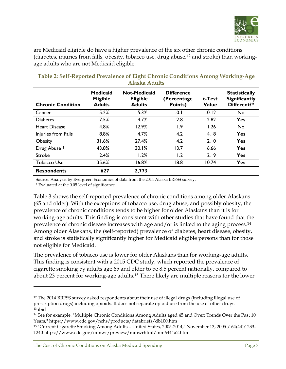

are Medicaid eligible do have a higher prevalence of the six other chronic conditions (diabetes, injuries from falls, obesity, tobacco use, drug abuse,[12](#page-12-1) and stroke) than workingage adults who are not Medicaid eligible.

| <b>Chronic Condition</b> | <b>Medicaid</b><br><b>Eligible</b><br><b>Adults</b> | <b>Not-Medicaid</b><br><b>Eligible</b><br><b>Adults</b> | <b>Difference</b><br>(Percentage<br>Points) | t-Test<br><b>Value</b> | <b>Statistically</b><br><b>Significantly</b><br>Different?* |
|--------------------------|-----------------------------------------------------|---------------------------------------------------------|---------------------------------------------|------------------------|-------------------------------------------------------------|
| Cancer                   | 5.2%                                                | 5.3%                                                    | $-0.1$                                      | $-0.12$                | No                                                          |
| <b>Diabetes</b>          | 7.5%                                                | 4.7%                                                    | 2.8                                         | 2.82                   | <b>Yes</b>                                                  |
| Heart Disease            | 14.8%                                               | 12.9%                                                   | 9. ا                                        | 1.26                   | No                                                          |
| Injuries from Falls      | 8.8%                                                | 4.7%                                                    | 4.2                                         | 4.18                   | <b>Yes</b>                                                  |
| Obesity                  | 31.6%                                               | 27.4%                                                   | 4.2                                         | 2.10                   | <b>Yes</b>                                                  |
| Drug Abuse <sup>13</sup> | 43.8%                                               | 30.1%                                                   | 13.7                                        | 6.66                   | <b>Yes</b>                                                  |
| Stroke                   | 2.4%                                                | 1.2%                                                    | 1.2                                         | 2.19                   | <b>Yes</b>                                                  |
| <b>Tobacco Use</b>       | 35.6%                                               | 16.8%                                                   | 18.8                                        | 10.74                  | <b>Yes</b>                                                  |
| <b>Respondents</b>       | 627                                                 | 2,773                                                   |                                             |                        |                                                             |

#### <span id="page-12-0"></span>**Table 2: Self-Reported Prevalence of Eight Chronic Conditions Among Working-Age Alaska Adults**

Source: Analysis by Evergreen Economics of data from the 2014 Alaska BRFSS survey.

\* Evaluated at the 0.05 level of significance.

[Table 3](#page-13-0) shows the self-reported prevalence of chronic conditions among older Alaskans (65 and older). With the exceptions of tobacco use, drug abuse, and possibly obesity, the prevalence of chronic conditions tends to be higher for older Alaskans than it is for working-age adults. This finding is consistent with other studies that have found that the prevalence of chronic disease increases with age and/or is linked to the aging process.[14](#page-12-3) Among older Alaskans, the (self-reported) prevalence of diabetes, heart disease, obesity, and stroke is statistically significantly higher for Medicaid eligible persons than for those not eligible for Medicaid.

The prevalence of tobacco use is lower for older Alaskans than for working-age adults. This finding is consistent with a 2015 CDC study, which reported the prevalence of cigarette smoking by adults age 65 and older to be 8.5 percent nationally, compared to about 23 percent for working-age adults.[15](#page-12-4) There likely are multiple reasons for the lower

<span id="page-12-1"></span><sup>12</sup> The 2014 BRFSS survey asked respondents about their use of illegal drugs (including illegal use of prescription drugs) including opioids. It does not separate opioid use from the use of other drugs. <sup>13</sup> ibid

<span id="page-12-3"></span><span id="page-12-2"></span><sup>14</sup> See for example, "Multiple Chronic Conditions Among Adults aged 45 and Over: Trends Over the Past 10 Years," https://www.cdc.gov/nchs/products/databriefs/db100.htm

<span id="page-12-4"></span><sup>15 &</sup>quot;Current Cigarette Smoking Among Adults – United States, 2005-2014," November 13, 2005 / 64(44);1233- 1240 https://www.cdc.gov/mmwr/preview/mmwrhtml/mm6444a2.htm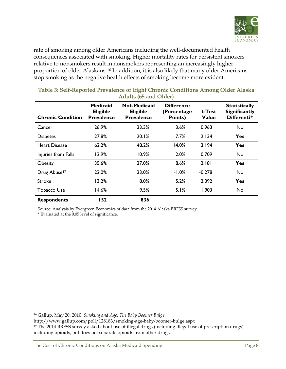

rate of smoking among older Americans including the well-documented health consequences associated with smoking. Higher mortality rates for persistent smokers relative to nonsmokers result in nonsmokers representing an increasingly higher proportion of older Alaskans.[16](#page-13-1) In addition, it is also likely that many older Americans stop smoking as the negative health effects of smoking become more evident.

| <b>Chronic Condition</b> | <b>Medicaid</b><br><b>Eligible</b><br><b>Prevalence</b> | <b>Not-Medicaid</b><br><b>Eligible</b><br><b>Prevalence</b> | <b>Difference</b><br>(Percentage<br>Points) | t-Test<br><b>Value</b> | <b>Statistically</b><br><b>Significantly</b><br>Different?* |
|--------------------------|---------------------------------------------------------|-------------------------------------------------------------|---------------------------------------------|------------------------|-------------------------------------------------------------|
| Cancer                   | 26.9%                                                   | 23.3%                                                       | 3.6%                                        | 0.963                  | <b>No</b>                                                   |
| <b>Diabetes</b>          | 27.8%                                                   | 20.1%                                                       | 7.7%                                        | 2.134                  | <b>Yes</b>                                                  |
| Heart Disease            | 62.2%                                                   | 48.2%                                                       | 14.0%                                       | 3.194                  | <b>Yes</b>                                                  |
| Injuries from Falls      | 12.9%                                                   | 10.9%                                                       | 2.0%                                        | 0.709                  | <b>No</b>                                                   |
| Obesity                  | 35.6%                                                   | 27.0%                                                       | 8.6%                                        | 2.181                  | Yes                                                         |
| Drug Abuse <sup>17</sup> | 22.0%                                                   | 23.0%                                                       | $-1.0%$                                     | $-0.278$               | <b>No</b>                                                   |
| Stroke                   | 13.2%                                                   | 8.0%                                                        | 5.2%                                        | 2.092                  | <b>Yes</b>                                                  |
| <b>Tobacco Use</b>       | 14.6%                                                   | 9.5%                                                        | 5.1%                                        | 1.903                  | <b>No</b>                                                   |
| <b>Respondents</b>       | 152                                                     | 836                                                         |                                             |                        |                                                             |

#### <span id="page-13-0"></span>**Table 3: Self-Reported Prevalence of Eight Chronic Conditions Among Older Alaska Adults (65 and Older)**

Source: Analysis by Evergreen Economics of data from the 2014 Alaska BRFSS survey.

\* Evaluated at the 0.05 level of significance.

<span id="page-13-1"></span><sup>16</sup> Gallup, May 20, 2010, *Smoking and Age: The Baby Boomer Bulge*,

<span id="page-13-2"></span>http://www.gallup.com/poll/128183/smoking-age-baby-boomer-bulge.aspx<br><sup>17</sup> The 2014 BRFSS survey asked about use of illegal drugs (including illegal use of prescription drugs) including opioids, but does not separate opioids from other drugs.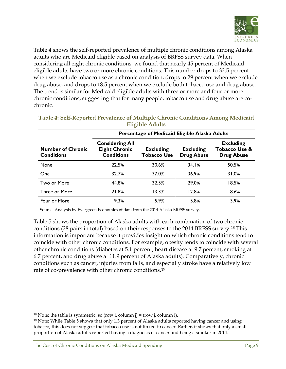

[Table 4](#page-14-0) shows the self-reported prevalence of multiple chronic conditions among Alaska adults who are Medicaid eligible based on analysis of BRFSS survey data. When considering all eight chronic conditions, we found that nearly 45 percent of Medicaid eligible adults have two or more chronic conditions. This number drops to 32.5 percent when we exclude tobacco use as a chronic condition, drops to 29 percent when we exclude drug abuse, and drops to 18.5 percent when we exclude both tobacco use and drug abuse. The trend is similar for Medicaid eligible adults with three or more and four or more chronic conditions, suggesting that for many people, tobacco use and drug abuse are cochronic.

|                                               | Percentage of Medicaid Eligible Alaska Adults                       |                                        |                                       |                                                                   |  |  |  |  |  |
|-----------------------------------------------|---------------------------------------------------------------------|----------------------------------------|---------------------------------------|-------------------------------------------------------------------|--|--|--|--|--|
| <b>Number of Chronic</b><br><b>Conditions</b> | <b>Considering All</b><br><b>Eight Chronic</b><br><b>Conditions</b> | <b>Excluding</b><br><b>Tobacco Use</b> | <b>Excluding</b><br><b>Drug Abuse</b> | <b>Excluding</b><br><b>Tobacco Use &amp;</b><br><b>Drug Abuse</b> |  |  |  |  |  |
| None                                          | 22.5%                                                               | 30.6%                                  | 34.1%                                 | 50.5%                                                             |  |  |  |  |  |
| One                                           | 32.7%                                                               | 37.0%                                  | 36.9%                                 | 31.0%                                                             |  |  |  |  |  |
| Two or More                                   | 44.8%                                                               | 32.5%                                  | 29.0%                                 | 18.5%                                                             |  |  |  |  |  |
| Three or More                                 | 21.8%                                                               | 13.3%                                  | 12.8%                                 | 8.6%                                                              |  |  |  |  |  |
| Four or More                                  | 9.3%                                                                | 5.9%                                   | 5.8%                                  | 3.9%                                                              |  |  |  |  |  |

#### <span id="page-14-0"></span>**Table 4: Self-Reported Prevalence of Multiple Chronic Conditions Among Medicaid Eligible Adults**

Source: Analysis by Evergreen Economics of data from the 2014 Alaska BRFSS survey.

[Table 5](#page-15-0) shows the proportion of Alaska adults with each combination of two chronic conditions (28 pairs in total) based on their responses to the 2014 BRFSS survey.[18](#page-14-1) This information is important because it provides insight on which chronic conditions tend to coincide with other chronic conditions. For example, obesity tends to coincide with several other chronic conditions (diabetes at 5.1 percent, heart disease at 9.7 percent, smoking at 6.7 percent, and drug abuse at 11.9 percent of Alaska adults). Comparatively, chronic conditions such as cancer, injuries from falls, and especially stroke have a relatively low rate of co-prevalence with other chronic conditions.[19](#page-14-2) 

<span id="page-14-1"></span><sup>&</sup>lt;sup>18</sup> Note: the table is symmetric, so (row i, column j) = (row j, column i).

<span id="page-14-2"></span> $19$  Note: While [Table 5](#page-15-0) shows that only 1.3 percent of Alaska adults reported having cancer and using tobacco, this does not suggest that tobacco use is not linked to cancer. Rather, it shows that only a small proportion of Alaska adults reported having a diagnosis of cancer and being a smoker in 2014.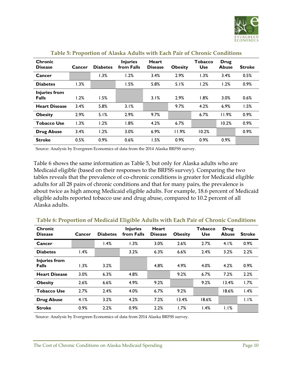

<span id="page-15-0"></span>

| <b>Chronic</b><br><b>Disease</b>     | Cancer | <b>Diabetes</b> | <b>Injuries</b><br>from Falls | <b>Heart</b><br><b>Disease</b> | <b>Obesity</b> | Tobacco<br><b>Use</b> | Drug<br><b>Abuse</b> | <b>Stroke</b> |
|--------------------------------------|--------|-----------------|-------------------------------|--------------------------------|----------------|-----------------------|----------------------|---------------|
| Cancer                               |        | 1.3%            | 1.2%                          | 3.4%                           | 2.9%           | 1.3%                  | 3.4%                 | 0.5%          |
| <b>Diabetes</b>                      | 1.3%   |                 | 1.5%                          | 5.8%                           | 5.1%           | 1.2%                  | 1.2%                 | 0.9%          |
| <b>Injuries from</b><br><b>Falls</b> | 1.2%   | 1.5%            |                               | 3.1%                           | 2.9%           | 1.8%                  | 3.0%                 | 0.6%          |
| <b>Heart Disease</b>                 | 3.4%   | 5.8%            | 3.1%                          |                                | 9.7%           | 4.2%                  | 6.9%                 | 1.5%          |
| <b>Obesity</b>                       | 2.9%   | 5.1%            | 2.9%                          | 9.7%                           |                | 6.7%                  | 11.9%                | 0.9%          |
| <b>Tobacco Use</b>                   | 1.3%   | 1.2%            | 1.8%                          | 4.2%                           | 6.7%           |                       | 10.2%                | 0.9%          |
| <b>Drug Abuse</b>                    | 3.4%   | 1.2%            | 3.0%                          | 6.9%                           | 11.9%          | 10.2%                 |                      | 0.9%          |
| <b>Stroke</b>                        | 0.5%   | 0.9%            | 0.6%                          | 1.5%                           | 0.9%           | 0.9%                  | 0.9%                 |               |

#### **Table 5: Proportion of Alaska Adults with Each Pair of Chronic Conditions**

Source: Analysis by Evergreen Economics of data from the 2014 Alaska BRFSS survey.

[Table 6](#page-15-1) shows the same information as [Table 5,](#page-15-0) but only for Alaska adults who are Medicaid eligible (based on their responses to the BRFSS survey). Comparing the two tables reveals that the prevalence of co-chronic conditions is greater for Medicaid eligible adults for all 28 pairs of chronic conditions and that for many pairs, the prevalence is about twice as high among Medicaid eligible adults. For example, 18.6 percent of Medicaid eligible adults reported tobacco use and drug abuse, compared to 10.2 percent of all Alaska adults.

| Chronic<br><b>Disease</b>            | Cancer | <b>Diabetes</b> | <b>Injuries</b><br>from Falls | <b>Heart</b><br><b>Disease</b> | <b>Obesity</b> | <b>Tobacco</b><br><b>Use</b> | Drug<br><b>Abuse</b> | <b>Stroke</b> |
|--------------------------------------|--------|-----------------|-------------------------------|--------------------------------|----------------|------------------------------|----------------------|---------------|
| Cancer                               |        | 1.4%            | 1.3%                          | 3.0%                           | 2.6%           | 2.7%                         | 4.1%                 | 0.9%          |
| <b>Diabetes</b>                      | 1.4%   |                 | 3.2%                          | 6.3%                           | 6.6%           | 2.4%                         | 3.2%                 | 2.2%          |
| <b>Injuries from</b><br><b>Falls</b> | 1.3%   | 3.2%            |                               | 4.8%                           | 4.9%           | 4.0%                         | 4.2%                 | 0.9%          |
| <b>Heart Disease</b>                 | 3.0%   | 6.3%            | 4.8%                          |                                | 9.2%           | 6.7%                         | 7.2%                 | 2.2%          |
| <b>Obesity</b>                       | 2.6%   | 6.6%            | 4.9%                          | 9.2%                           |                | 9.2%                         | 13.4%                | 1.7%          |
| <b>Tobacco Use</b>                   | 2.7%   | 2.4%            | 4.0%                          | 6.7%                           | 9.2%           |                              | 18.6%                | 1.4%          |
| <b>Drug Abuse</b>                    | 4.1%   | 3.2%            | 4.2%                          | 7.2%                           | 13.4%          | 18.6%                        |                      | 1.1%          |
| <b>Stroke</b>                        | 0.9%   | 2.2%            | 0.9%                          | 2.2%                           | 1.7%           | 1.4%                         | 1.1%                 |               |

#### <span id="page-15-1"></span>**Table 6: Proportion of Medicaid Eligible Adults with Each Pair of Chronic Conditions**

Source: Analysis by Evergreen Economics of data from 2014 Alaska BRFSS survey.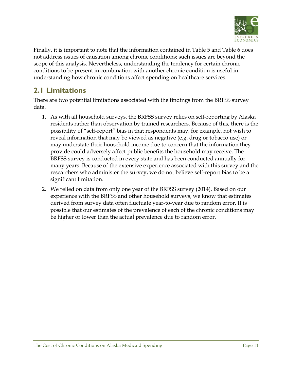

Finally, it is important to note that the information contained in [Table 5](#page-15-0) and [Table 6](#page-15-1) does not address issues of causation among chronic conditions; such issues are beyond the scope of this analysis. Nevertheless, understanding the tendency for certain chronic conditions to be present in combination with another chronic condition is useful in understanding how chronic conditions affect spending on healthcare services.

# **2.1 Limitations**

There are two potential limitations associated with the findings from the BRFSS survey data.

- 1. As with all household surveys, the BRFSS survey relies on self-reporting by Alaska residents rather than observation by trained researchers. Because of this, there is the possibility of "self-report" bias in that respondents may, for example, not wish to reveal information that may be viewed as negative (e.g. drug or tobacco use) or may understate their household income due to concern that the information they provide could adversely affect public benefits the household may receive. The BRFSS survey is conducted in every state and has been conducted annually for many years. Because of the extensive experience associated with this survey and the researchers who administer the survey, we do not believe self-report bias to be a significant limitation.
- 2. We relied on data from only one year of the BRFSS survey (2014). Based on our experience with the BRFSS and other household surveys, we know that estimates derived from survey data often fluctuate year-to-year due to random error. It is possible that our estimates of the prevalence of each of the chronic conditions may be higher or lower than the actual prevalence due to random error.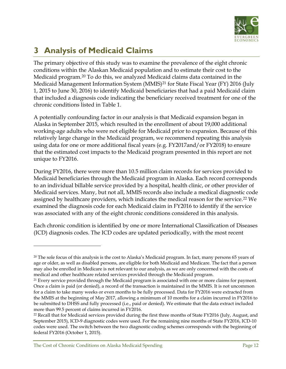

# **3 Analysis of Medicaid Claims**

The primary objective of this study was to examine the prevalence of the eight chronic conditions within the Alaskan Medicaid population and to estimate their cost to the Medicaid program.[20](#page-17-0) To do this, we analyzed Medicaid claims data contained in the Medicaid Management Information System (MMIS)<sup>21</sup> for State Fiscal Year (FY) 2016 (July 1, 2015 to June 30, 2016) to identify Medicaid beneficiaries that had a paid Medicaid claim that included a diagnosis code indicating the beneficiary received treatment for one of the chronic conditions listed in [Table 1.](#page-10-0)

A potentially confounding factor in our analysis is that Medicaid expansion began in Alaska in September 2015, which resulted in the enrollment of about 19,000 additional working-age adults who were not eligible for Medicaid prior to expansion. Because of this relatively large change in the Medicaid program, we recommend repeating this analysis using data for one or more additional fiscal years (e.g. FY2017and/or FY2018) to ensure that the estimated cost impacts to the Medicaid program presented in this report are not unique to FY2016.

During FY2016, there were more than 10.5 million claim records for services provided to Medicaid beneficiaries through the Medicaid program in Alaska. Each record corresponds to an individual billable service provided by a hospital, health clinic, or other provider of Medicaid services. Many, but not all, MMIS records also include a medical diagnostic code assigned by healthcare providers, which indicates the medical reason for the service.<sup>22</sup> We examined the diagnosis code for each Medicaid claim in FY2016 to identify if the service was associated with any of the eight chronic conditions considered in this analysis.

Each chronic condition is identified by one or more International Classification of Diseases (ICD) diagnosis codes. The ICD codes are updated periodically, with the most recent

<span id="page-17-0"></span><sup>20</sup> The sole focus of this analysis is the cost to Alaska's Medicaid program. In fact, many persons 65 years of age or older, as well as disabled persons, are eligible for both Medicaid and Medicare. The fact that a person may also be enrolled in Medicare is not relevant to our analysis, as we are only concerned with the costs of medical and other healthcare related services provided through the Medicaid program.

<span id="page-17-1"></span><sup>&</sup>lt;sup>21</sup> Every service provided through the Medicaid program is associated with one or more claims for payment. Once a claim is paid (or denied), a record of the transaction is maintained in the MMIS. It is not uncommon for a claim to take many weeks or even months to be fully processed. Data for FY2016 were extracted from the MMIS at the beginning of May 2017, allowing a minimum of 10 months for a claim incurred in FY2016 to be submitted to DHSS and fully processed (i.e., paid or denied). We estimate that the data extract included more than 99.5 percent of claims incurred in FY2016.

<span id="page-17-2"></span><sup>22</sup> Recall that for Medicaid services provided during the first three months of State FY2016 (July, August, and September 2015), ICD-9 diagnostic codes were used. For the remaining nine months of State FY2016, ICD-10 codes were used. The switch between the two diagnostic coding schemes corresponds with the beginning of federal FY2016 (October 1, 2015).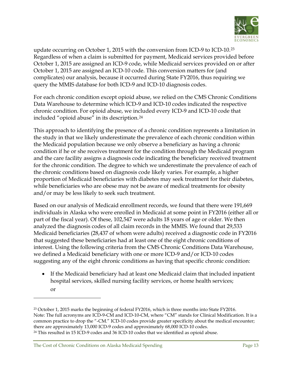

update occurring on October 1, 2015 with the conversion from ICD-9 to ICD-10.[23](#page-18-0) Regardless of when a claim is submitted for payment, Medicaid services provided before October 1, 2015 are assigned an ICD-9 code, while Medicaid services provided on or after October 1, 2015 are assigned an ICD-10 code. This conversion matters for (and complicates) our analysis, because it occurred during State FY2016, thus requiring we query the MMIS database for both ICD-9 and ICD-10 diagnosis codes.

For each chronic condition except opioid abuse, we relied on the CMS Chronic Conditions Data Warehouse to determine which ICD-9 and ICD-10 codes indicated the respective chronic condition. For opioid abuse, we included every ICD-9 and ICD-10 code that included "opioid abuse" in its description.[24](#page-18-1) 

This approach to identifying the presence of a chronic condition represents a limitation in the study in that we likely underestimate the prevalence of each chronic condition within the Medicaid population because we only observe a beneficiary as having a chronic condition if he or she receives treatment for the condition through the Medicaid program and the care facility assigns a diagnosis code indicating the beneficiary received treatment for the chronic condition. The degree to which we underestimate the prevalence of each of the chronic conditions based on diagnosis code likely varies. For example, a higher proportion of Medicaid beneficiaries with diabetes may seek treatment for their diabetes, while beneficiaries who are obese may not be aware of medical treatments for obesity and/or may be less likely to seek such treatment.

Based on our analysis of Medicaid enrollment records, we found that there were 191,669 individuals in Alaska who were enrolled in Medicaid at some point in FY2016 (either all or part of the fiscal year). Of these, 102,547 were adults 18 years of age or older. We then analyzed the diagnosis codes of all claim records in the MMIS. We found that 29,533 Medicaid beneficiaries (28,437 of whom were adults) received a diagnostic code in FY2016 that suggested these beneficiaries had at least one of the eight chronic conditions of interest. Using the following criteria from the CMS Chronic Conditions Data Warehouse, we defined a Medicaid beneficiary with one or more ICD-9 and/or ICD-10 codes suggesting any of the eight chronic conditions as having that specific chronic condition:

If the Medicaid beneficiary had at least one Medicaid claim that included inpatient hospital services, skilled nursing facility services, or home health services;

or

<span id="page-18-1"></span><span id="page-18-0"></span><sup>&</sup>lt;sup>23</sup> October 1, 2015 marks the beginning of federal FY2016, which is three months into State FY2016. Note: The full acronyms are ICD-9-CM and ICD-10-CM, where "CM" stands for Clinical Modification. It is a common practice to drop the "-CM." ICD-10 codes provide greater specificity about the medical encounter; there are approximately 13,000 ICD-9 codes and approximately 68,000 ICD-10 codes. <sup>24</sup> This resulted in 15 ICD-9 codes and 36 ICD-10 codes that we identified as opioid abuse.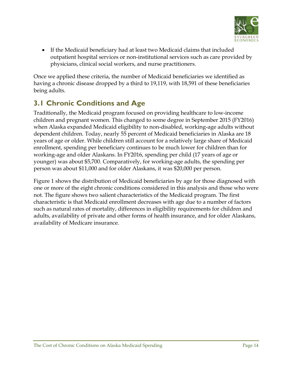

• If the Medicaid beneficiary had at least two Medicaid claims that included outpatient hospital services or non-institutional services such as care provided by physicians, clinical social workers, and nurse practitioners.

Once we applied these criteria, the number of Medicaid beneficiaries we identified as having a chronic disease dropped by a third to 19,119, with 18,591 of these beneficiaries being adults.

# **3.1 Chronic Conditions and Age**

Traditionally, the Medicaid program focused on providing healthcare to low-income children and pregnant women. This changed to some degree in September 2015 (FY2016) when Alaska expanded Medicaid eligibility to non-disabled, working-age adults without dependent children. Today, nearly 55 percent of Medicaid beneficiaries in Alaska are 18 years of age or older. While children still account for a relatively large share of Medicaid enrollment, spending per beneficiary continues to be much lower for children than for working-age and older Alaskans. In FY2016, spending per child (17 years of age or younger) was about \$5,700. Comparatively, for working-age adults, the spending per person was about \$11,000 and for older Alaskans, it was \$20,000 per person.

[Figure 1](#page-20-0) shows the distribution of Medicaid beneficiaries by age for those diagnosed with one or more of the eight chronic conditions considered in this analysis and those who were not. The figure shows two salient characteristics of the Medicaid program. The first characteristic is that Medicaid enrollment decreases with age due to a number of factors such as natural rates of mortality, differences in eligibility requirements for children and adults, availability of private and other forms of health insurance, and for older Alaskans, availability of Medicare insurance.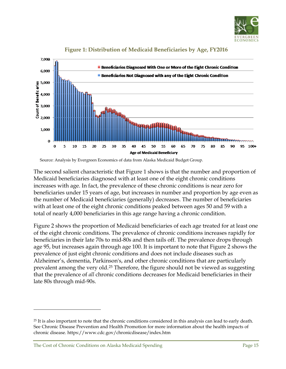

<span id="page-20-0"></span>

#### **Figure 1: Distribution of Medicaid Beneficiaries by Age, FY2016**

The second salient characteristic that [Figure 1](#page-20-0) shows is that the number and proportion of Medicaid beneficiaries diagnosed with at least one of the eight chronic conditions increases with age. In fact, the prevalence of these chronic conditions is near zero for beneficiaries under 15 years of age, but increases in number and proportion by age even as the number of Medicaid beneficiaries (generally) decreases. The number of beneficiaries with at least one of the eight chronic conditions peaked between ages 50 and 59 with a total of nearly 4,000 beneficiaries in this age range having a chronic condition.

[Figure 2](#page-21-0) shows the proportion of Medicaid beneficiaries of each age treated for at least one of the eight chronic conditions. The prevalence of chronic conditions increases rapidly for beneficiaries in their late 70s to mid-80s and then tails off. The prevalence drops through age 95, but increases again through age 100. It is important to note that [Figure 2](#page-21-0) shows the prevalence of just eight chronic conditions and does not include diseases such as Alzheimer's, dementia, Parkinson's, and other chronic conditions that are particularly prevalent among the very old.[25](#page-20-1) Therefore, the figure should not be viewed as suggesting that the prevalence of *all* chronic conditions decreases for Medicaid beneficiaries in their late 80s through mid-90s.

Source: Analysis by Evergreen Economics of data from Alaska Medicaid Budget Group.

<span id="page-20-1"></span><sup>&</sup>lt;sup>25</sup> It is also important to note that the chronic conditions considered in this analysis can lead to early death. See Chronic Disease Prevention and Health Promotion for more information about the health impacts of chronic disease. https://www.cdc.gov/chronicdisease/index.htm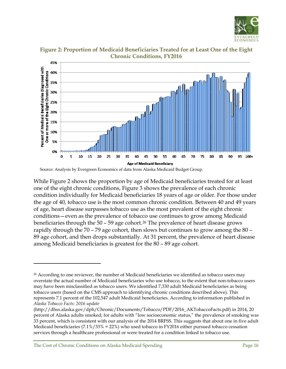



<span id="page-21-0"></span>**Figure 2: Proportion of Medicaid Beneficiaries Treated for at Least One of the Eight Chronic Conditions, FY2016** 

Source: Analysis by Evergreen Economics of data from Alaska Medicaid Budget Group.

While [Figure 2](#page-21-0) shows the proportion by age of Medicaid beneficiaries treated for at least one of the eight chronic conditions, [Figure 3](#page-22-0) shows the prevalence of each chronic condition individually for Medicaid beneficiaries 18 years of age or older. For those under the age of 40, tobacco use is the most common chronic condition. Between 40 and 49 years of age, heart disease surpasses tobacco use as the most prevalent of the eight chronic conditions—even as the prevalence of tobacco use continues to grow among Medicaid beneficiaries through the 50 – 59 age cohort.<sup>[26](#page-21-1)</sup> The prevalence of heart disease grows rapidly through the 70 – 79 age cohort, then slows but continues to grow among the 80 – 89 age cohort, and then drops substantially. At 31 percent, the prevalence of heart disease among Medicaid beneficiaries is greatest for the 80 – 89 age cohort.

<span id="page-21-1"></span><sup>&</sup>lt;sup>26</sup> According to one reviewer, the number of Medicaid beneficiaries we identified as tobacco users may overstate the actual number of Medicaid beneficiaries who use tobacco, to the extent that non-tobacco users may have been misclassified as tobacco users. We identified 7,330 adult Medicaid beneficiaries as being tobacco users (based on the CMS approach to identifying chronic conditions described above). This represents 7.1 percent of the 102,547 adult Medicaid beneficiaries. According to information published in *Alaska Tobacco Facts: 2016 update*

<sup>(</sup>http://dhss.alaska.gov/dph/Chronic/Documents/Tobacco/PDF/2016\_AKTobaccoFacts.pdf) in 2014, 20 percent of Alaska adults smoked; for adults with "low socioeconomic status," the prevalence of smoking was 33 percent, which is consistent with our analysis of the 2014 BRFSS. This suggests that about one in five adult Medicaid beneficiaries (7.1%/33% = 22%) who used tobacco in FY2016 either pursued tobacco cessation services through a healthcare professional or were treated for a condition linked to tobacco use.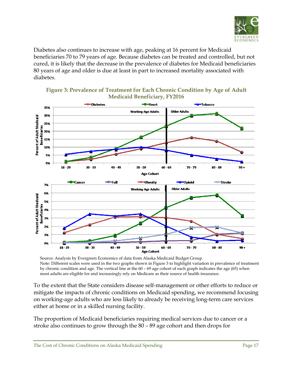

Diabetes also continues to increase with age, peaking at 16 percent for Medicaid beneficiaries 70 to 79 years of age. Because diabetes can be treated and controlled, but not cured, it is likely that the decrease in the prevalence of diabetes for Medicaid beneficiaries 80 years of age and older is due at least in part to increased mortality associated with diabetes.



#### <span id="page-22-0"></span>**Figure 3: Prevalence of Treatment for Each Chronic Condition by Age of Adult Medicaid Beneficiary, FY2016**

Source: Analysis by Evergreen Economics of data from Alaska Medicaid Budget Group. Note: Different scales were used in the two graphs shown in Figure 3 to highlight variation in prevalence of treatment by chronic condition and age. The vertical line at the 60 – 69 age cohort of each graph indicates the age (65) when most adults are eligible for and increasingly rely on Medicare as their source of health insurance.

To the extent that the State considers disease self-management or other efforts to reduce or mitigate the impacts of chronic conditions on Medicaid spending, we recommend focusing on working-age adults who are less likely to already be receiving long-term care services either at home or in a skilled nursing facility.

The proportion of Medicaid beneficiaries requiring medical services due to cancer or a stroke also continues to grow through the 80 – 89 age cohort and then drops for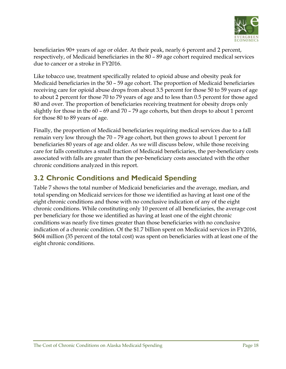

beneficiaries 90+ years of age or older. At their peak, nearly 6 percent and 2 percent, respectively, of Medicaid beneficiaries in the 80 – 89 age cohort required medical services due to cancer or a stroke in FY2016.

Like tobacco use, treatment specifically related to opioid abuse and obesity peak for Medicaid beneficiaries in the 50 – 59 age cohort. The proportion of Medicaid beneficiaries receiving care for opioid abuse drops from about 3.5 percent for those 50 to 59 years of age to about 2 percent for those 70 to 79 years of age and to less than 0.5 percent for those aged 80 and over. The proportion of beneficiaries receiving treatment for obesity drops only slightly for those in the 60 – 69 and 70 – 79 age cohorts, but then drops to about 1 percent for those 80 to 89 years of age.

Finally, the proportion of Medicaid beneficiaries requiring medical services due to a fall remain very low through the 70 – 79 age cohort, but then grows to about 1 percent for beneficiaries 80 years of age and older. As we will discuss below, while those receiving care for falls constitutes a small fraction of Medicaid beneficiaries, the per-beneficiary costs associated with falls are greater than the per-beneficiary costs associated with the other chronic conditions analyzed in this report.

# **3.2 Chronic Conditions and Medicaid Spending**

[Table 7](#page-24-0) shows the total number of Medicaid beneficiaries and the average, median, and total spending on Medicaid services for those we identified as having at least one of the eight chronic conditions and those with no conclusive indication of any of the eight chronic conditions. While constituting only 10 percent of all beneficiaries, the average cost per beneficiary for those we identified as having at least one of the eight chronic conditions was nearly five times greater than those beneficiaries with no conclusive indication of a chronic condition. Of the \$1.7 billion spent on Medicaid services in FY2016, \$604 million (35 percent of the total cost) was spent on beneficiaries with at least one of the eight chronic conditions.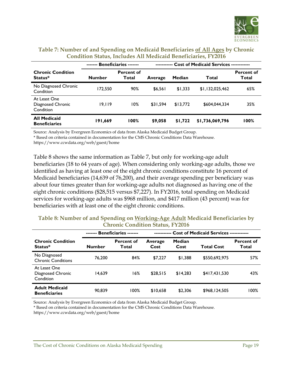

#### <span id="page-24-0"></span>**Table 7: Number of and Spending on Medicaid Beneficiaries of All Ages by Chronic Condition Status, Includes All Medicaid Beneficiaries, FY2016**

|                                                | <b>Cost of Medicaid Services ------------</b><br>------- Beneficiaries ------- |                            |          |          |                 |                            |
|------------------------------------------------|--------------------------------------------------------------------------------|----------------------------|----------|----------|-----------------|----------------------------|
| <b>Chronic Condition</b><br>Status*            | <b>Number</b>                                                                  | <b>Percent of</b><br>Total | Average  | Median   | Total           | <b>Percent of</b><br>Total |
| No Diagnosed Chronic<br>Condition              | 172.550                                                                        | 90%                        | \$6.561  | \$1.333  | \$1,132,025,462 | 65%                        |
| At Least One<br>Diagnosed Chronic<br>Condition | 19.119                                                                         | 10%                        | \$31.594 | \$13.772 | \$604.044.334   | 35%                        |
| <b>All Medicaid</b><br><b>Beneficiaries</b>    | 191,669                                                                        | 100%                       | \$9,058  | \$1,722  | \$1,736,069,796 | 100%                       |

Source: Analysis by Evergreen Economics of data from Alaska Medicaid Budget Group.

\* Based on criteria contained in documentation for the CMS Chronic Conditions Data Warehouse.

https://www.ccwdata.org/web/guest/home

[Table 8](#page-24-1) shows the same information as [Table 7,](#page-24-0) but only for working-age adult beneficiaries (18 to 64 years of age). When considering only working-age adults, those we identified as having at least one of the eight chronic conditions constitute 16 percent of Medicaid beneficiaries (14,639 of 76,200), and their average spending per beneficiary was about four times greater than for working-age adults not diagnosed as having one of the eight chronic conditions (\$28,515 versus \$7,227). In FY2016, total spending on Medicaid services for working-age adults was \$968 million, and \$417 million (43 percent) was for beneficiaries with at least one of the eight chronic conditions.

#### **Chronic Condition Status\* ------- Beneficiaries ------- ----------- Cost of Medicaid Services ------------ Number Percent of Total Average Cost Median Cost Total Cost Percent of Total** No Diagnosed Chronic Conditions 76,200 84% \$7,227 \$1,388 \$550,692,975 57% At Least One Diagnosed Chronic **Condition** 14,639 16% \$28,515 \$14,283 \$417,431,530 43% **Adult Medicaid Beneficiaries** 90,839 100% \$10,658 \$2,306 \$968,124,505 100%

#### <span id="page-24-1"></span>**Table 8: Number of and Spending on Working-Age Adult Medicaid Beneficiaries by Chronic Condition Status, FY2016**

Source: Analysis by Evergreen Economics of data from Alaska Medicaid Budget Group.

\* Based on criteria contained in documentation for the CMS Chronic Conditions Data Warehouse.

https://www.ccwdata.org/web/guest/home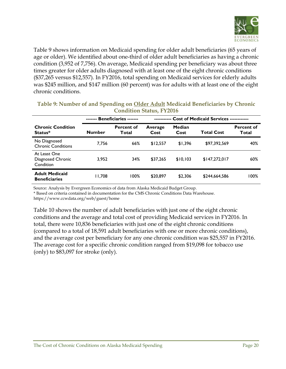

[Table 9](#page-25-0) shows information on Medicaid spending for older adult beneficiaries (65 years of age or older). We identified about one-third of older adult beneficiaries as having a chronic condition (3,952 of 7,756). On average, Medicaid spending per beneficiary was about three times greater for older adults diagnosed with at least one of the eight chronic conditions (\$37,265 versus \$12,557). In FY2016, total spending on Medicaid services for elderly adults was \$245 million, and \$147 million (60 percent) was for adults with at least one of the eight chronic conditions.

| $\mathcal{L}$ $\mathcal{L}$ $\mathcal{L}$ $\mathcal{L}$ $\mathcal{L}$ $\mathcal{L}$ $\mathcal{L}$ $\mathcal{L}$ $\mathcal{L}$ $\mathcal{L}$ $\mathcal{L}$ $\mathcal{L}$ $\mathcal{L}$ $\mathcal{L}$ $\mathcal{L}$ $\mathcal{L}$ $\mathcal{L}$ $\mathcal{L}$ $\mathcal{L}$ $\mathcal{L}$ $\mathcal{L}$ $\mathcal{L}$ $\mathcal{L}$ $\mathcal{L}$ $\mathcal{$ |               |                              |                                               |                       |                   |                            |
|-------------------------------------------------------------------------------------------------------------------------------------------------------------------------------------------------------------------------------------------------------------------------------------------------------------------------------------------------------------|---------------|------------------------------|-----------------------------------------------|-----------------------|-------------------|----------------------------|
|                                                                                                                                                                                                                                                                                                                                                             |               | <b>Beneficiaries</b> ------- | <b>Cost of Medicaid Services ------------</b> |                       |                   |                            |
| <b>Chronic Condition</b><br>Status*                                                                                                                                                                                                                                                                                                                         | <b>Number</b> | <b>Percent of</b><br>Total   | Average<br>Cost                               | <b>Median</b><br>Cost | <b>Total Cost</b> | <b>Percent of</b><br>Total |
| No Diagnosed<br><b>Chronic Conditions</b>                                                                                                                                                                                                                                                                                                                   | 7.756         | 66%                          | \$12.557                                      | \$1,396               | \$97,392,569      | 40%                        |
| At Least One<br>Diagnosed Chronic<br>Condition                                                                                                                                                                                                                                                                                                              | 3,952         | 34%                          | \$37.265                                      | \$10,103              | \$147,272,017     | 60%                        |
| <b>Adult Medicaid</b><br><b>Beneficiaries</b>                                                                                                                                                                                                                                                                                                               | 11,708        | 100%                         | \$20,897                                      | \$2,306               | \$244,664,586     | 100%                       |

#### <span id="page-25-0"></span>**Table 9: Number of and Spending on Older Adult Medicaid Beneficiaries by Chronic Condition Status, FY2016**

Source: Analysis by Evergreen Economics of data from Alaska Medicaid Budget Group.

\* Based on criteria contained in documentation for the CMS Chronic Conditions Data Warehouse.

https://www.ccwdata.org/web/guest/home

[Table 10](#page-26-0) shows the number of adult beneficiaries with just one of the eight chronic conditions and the average and total cost of providing Medicaid services in FY2016. In total, there were 10,836 beneficiaries with just one of the eight chronic conditions (compared to a total of 18,591 adult beneficiaries with one or more chronic conditions), and the average cost per beneficiary for any one chronic condition was \$25,557 in FY2016. The average cost for a specific chronic condition ranged from \$19,098 for tobacco use (only) to \$83,097 for stroke (only).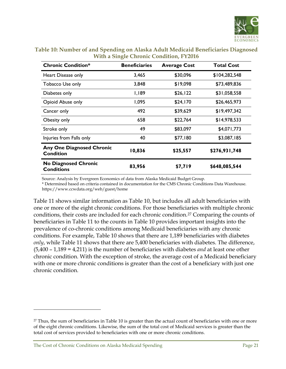

| <b>Chronic Condition*</b>                            | <b>Beneficiaries</b> | <b>Average Cost</b> | <b>Total Cost</b> |
|------------------------------------------------------|----------------------|---------------------|-------------------|
| Heart Disease only                                   | 3,465                | \$30,096            | \$104,282,548     |
| Tobacco Use only                                     | 3,848                | \$19,098            | \$73,489,836      |
| Diabetes only                                        | 1,189                | \$26,122            | \$31,058,558      |
| Opioid Abuse only                                    | 1,095                | \$24,170            | \$26,465,973      |
| Cancer only                                          | 492                  | \$39,629            | \$19,497,342      |
| Obesity only                                         | 658                  | \$22,764            | \$14,978,533      |
| Stroke only                                          | 49                   | \$83,097            | \$4,071,773       |
| Injuries from Falls only                             | 40                   | \$77,180            | \$3,087,185       |
| <b>Any One Diagnosed Chronic</b><br><b>Condition</b> | 10,836               | \$25,557            | \$276,931,748     |
| <b>No Diagnosed Chronic</b><br><b>Conditions</b>     | 83,956               | \$7,719             | \$648,085,544     |

#### <span id="page-26-0"></span>**Table 10: Number of and Spending on Alaska Adult Medicaid Beneficiaries Diagnosed With a Single Chronic Condition, FY2016**

Source: Analysis by Evergreen Economics of data from Alaska Medicaid Budget Group.

\* Determined based on criteria contained in documentation for the CMS Chronic Conditions Data Warehouse. https://www.ccwdata.org/web/guest/home

[Table 11](#page-27-0) shows similar information as [Table 10,](#page-26-0) but includes all adult beneficiaries with one or more of the eight chronic conditions. For those beneficiaries with multiple chronic conditions, their costs are included for each chronic condition.[27](#page-26-1) Comparing the counts of beneficiaries in [Table 11](#page-27-0) to the counts in [Table 10](#page-26-0) provides important insights into the prevalence of co-chronic conditions among Medicaid beneficiaries with any chronic conditions. For example, [Table 10](#page-26-0) shows that there are 1,189 beneficiaries with diabetes *only*, while [Table 11](#page-27-0) shows that there are 5,400 beneficiaries with diabetes. The difference, (5,400 – 1,189 = 4,211) is the number of beneficiaries with diabetes *and* at least one other chronic condition. With the exception of stroke, the average cost of a Medicaid beneficiary with one or more chronic conditions is greater than the cost of a beneficiary with just one chronic condition.

<span id="page-26-1"></span> $27$  Thus, the sum of beneficiaries in [Table 10](#page-27-0) is greater than the actual count of beneficiaries with one or more of the eight chronic conditions. Likewise, the sum of the total cost of Medicaid services is greater than the total cost of services provided to beneficiaries with one or more chronic conditions.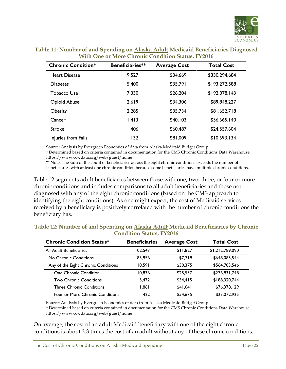

#### <span id="page-27-0"></span>**Table 11: Number of and Spending on Alaska Adult Medicaid Beneficiaries Diagnosed With One or More Chronic Condition Status, FY2016**

| <b>Chronic Condition*</b> | <b>Beneficiaries**</b> | <b>Average Cost</b> | <b>Total Cost</b> |
|---------------------------|------------------------|---------------------|-------------------|
| <b>Heart Disease</b>      | 9,527                  | \$34,669            | \$330,294,684     |
| <b>Diabetes</b>           | 5,400                  | \$35,791            | \$193,272,588     |
| <b>Tobacco Use</b>        | 7,330                  | \$26,204            | \$192,078,143     |
| <b>Opioid Abuse</b>       | 2,619                  | \$34,306            | \$89,848,227      |
| Obesity                   | 2,285                  | \$35,734            | \$81,652,718      |
| Cancer                    | 1,413                  | \$40,103            | \$56,665,140      |
| Stroke                    | 406                    | \$60,487            | \$24,557,604      |
| Injuries from Falls       | 132                    | \$81,009            | \$10,693,134      |

Source: Analysis by Evergreen Economics of data from Alaska Medicaid Budget Group.

\* Determined based on criteria contained in documentation for the CMS Chronic Conditions Data Warehouse. https://www.ccwdata.org/web/guest/home

\*\* Note: The sum of the count of beneficiaries across the eight chronic conditions exceeds the number of beneficiaries with at least one chronic condition because some beneficiaries have multiple chronic conditions.

[Table 12](#page-27-1) segments adult beneficiaries between those with one, two, three, or four or more chronic conditions and includes comparisons to all adult beneficiaries and those not diagnosed with any of the eight chronic conditions (based on the CMS approach to identifying the eight conditions). As one might expect, the cost of Medicaid services received by a beneficiary is positively correlated with the number of chronic conditions the beneficiary has.

| <b>Chronic Condition Status*</b>    | <b>Beneficiaries</b> | <b>Average Cost</b> | <b>Total Cost</b> |
|-------------------------------------|----------------------|---------------------|-------------------|
| All Adult Beneficiaries             | 102.547              | \$11,827            | \$1,212,789,090   |
| No Chronic Conditions               | 83.956               | \$7.719             | \$648,085,544     |
| Any of the Eight Chronic Conditions | 18.591               | \$30,375            | \$564,703,546     |
| One Chronic Condition               | 10.836               | \$25,557            | \$276,931,748     |
| <b>Two Chronic Conditions</b>       | 5.472                | \$34,415            | \$188,320,744     |
| <b>Three Chronic Conditions</b>     | 1,861                | \$41,041            | \$76,378,129      |
| Four or More Chronic Conditions     | 422                  | \$54,675            | \$23,072,925      |
|                                     |                      |                     |                   |

#### <span id="page-27-1"></span>**Table 12: Number of and Spending on Alaska Adult Medicaid Beneficiaries by Chronic Condition Status, FY2016**

Source: Analysis by Evergreen Economics of data from Alaska Medicaid Budget Group.

\* Determined based on criteria contained in documentation for the CMS Chronic Conditions Data Warehouse. https://www.ccwdata.org/web/guest/home

On average, the cost of an adult Medicaid beneficiary with one of the eight chronic conditions is about 3.3 times the cost of an adult without any of these chronic conditions.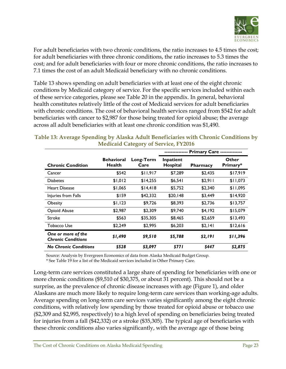

For adult beneficiaries with two chronic conditions, the ratio increases to 4.5 times the cost; for adult beneficiaries with three chronic conditions, the ratio increases to 5.3 times the cost; and for adult beneficiaries with four or more chronic conditions, the ratio increases to 7.1 times the cost of an adult Medicaid beneficiary with no chronic conditions.

[Table 13](#page-28-0) shows spending on adult beneficiaries with at least one of the eight chronic conditions by Medicaid category of service. For the specific services included within each of these service categories, please see [Table 20](#page-46-0) in the appendix. In general, behavioral health constitutes relatively little of the cost of Medicaid services for adult beneficiaries with chronic conditions. The cost of behavioral health services ranged from \$542 for adult beneficiaries with cancer to \$2,987 for those being treated for opioid abuse; the average across all adult beneficiaries with at least one chronic condition was \$1,490.

|                                                 |                                    |                   | <b>Primary Care -------------</b> |                 |                   |
|-------------------------------------------------|------------------------------------|-------------------|-----------------------------------|-----------------|-------------------|
| <b>Chronic Condition</b>                        | <b>Behavioral</b><br><b>Health</b> | Long-Term<br>Care | Inpatient<br>Hospital             | <b>Pharmacy</b> | Other<br>Primary* |
| Cancer                                          | \$542                              | \$11,917          | \$7,289                           | \$2,435         | \$17,919          |
| <b>Diabetes</b>                                 | \$1,012                            | \$14,255          | \$6,541                           | \$2,911         | \$11,073          |
| <b>Heart Disease</b>                            | \$1,065                            | \$14,418          | \$5,752                           | \$2,340         | \$11,095          |
| Injuries from Falls                             | \$159                              | \$42,332          | \$20,148                          | \$3,449         | \$14,920          |
| Obesity                                         | \$1,123                            | \$9,726           | \$8,393                           | \$2,736         | \$13,757          |
| <b>Opioid Abuse</b>                             | \$2,987                            | \$2,309           | \$9,740                           | \$4,192         | \$15,079          |
| Stroke                                          | \$563                              | \$35,305          | \$8,465                           | \$2,659         | \$13,493          |
| Tobacco Use                                     | \$2,249                            | \$2,995           | \$6,203                           | \$2,141         | \$12,616          |
| One or more of the<br><b>Chronic Conditions</b> | \$1,490                            | \$9,510           | \$5,788                           | \$2,191         | \$11,396          |
| <b>No Chronic Conditions</b>                    | \$528                              | \$3,097           | \$771                             | \$447           | \$2,875           |

#### <span id="page-28-0"></span>**Table 13: Average Spending by Alaska Adult Beneficiaries with Chronic Conditions by Medicaid Category of Service, FY2016**

Source: Analysis by Evergreen Economics of data from Alaska Medicaid Budget Group. \* See Table 19 for a list of the Medicaid services included in Other Primary Care.

Long-term care services constituted a large share of spending for beneficiaries with one or more chronic conditions (\$9,510 of \$30,375, or about 31 percent). This should not be a surprise, as the prevalence of chronic disease increases with age [\(Figure 1\)](#page-20-0), and older Alaskans are much more likely to require long-term care services than working-age adults. Average spending on long-term care services varies significantly among the eight chronic conditions, with relatively low spending by those treated for opioid abuse or tobacco use (\$2,309 and \$2,995, respectively) to a high level of spending on beneficiaries being treated for injuries from a fall (\$42,332) or a stroke (\$35,305). The typical age of beneficiaries with these chronic conditions also varies significantly, with the average age of those being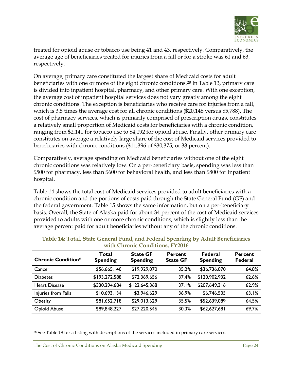

treated for opioid abuse or tobacco use being 41 and 43, respectively. Comparatively, the average age of beneficiaries treated for injuries from a fall or for a stroke was 61 and 63, respectively.

On average, primary care constituted the largest share of Medicaid costs for adult beneficiaries with one or more of the eight chronic conditions.[28](#page-29-1) In [Table 13,](#page-28-0) primary care is divided into inpatient hospital, pharmacy, and other primary care. With one exception, the average cost of inpatient hospital services does not vary greatly among the eight chronic conditions. The exception is beneficiaries who receive care for injuries from a fall, which is 3.5 times the average cost for all chronic conditions (\$20,148 versus \$5,788). The cost of pharmacy services, which is primarily comprised of prescription drugs, constitutes a relatively small proportion of Medicaid costs for beneficiaries with a chronic condition, ranging from \$2,141 for tobacco use to \$4,192 for opioid abuse. Finally, other primary care constitutes on average a relatively large share of the cost of Medicaid services provided to beneficiaries with chronic conditions (\$11,396 of \$30,375, or 38 percent).

Comparatively, average spending on Medicaid beneficiaries without one of the eight chronic conditions was relatively low. On a per-beneficiary basis, spending was less than \$500 for pharmacy, less than \$600 for behavioral health, and less than \$800 for inpatient hospital.

[Table 14](#page-29-0) shows the total cost of Medicaid services provided to adult beneficiaries with a chronic condition and the portions of costs paid through the State General Fund (GF) and the federal government. [Table 15](#page-30-0) shows the same information, but on a per-beneficiary basis. Overall, the State of Alaska paid for about 34 percent of the cost of Medicaid services provided to adults with one or more chronic conditions, which is slightly less than the average percent paid for adult beneficiaries without any of the chronic conditions.

| <b>Chronic Condition*</b> | Total<br><b>Spending</b> | <b>State GF</b><br><b>Spending</b> | <b>Percent</b><br><b>State GF</b> | <b>Federal</b><br><b>Spending</b> | <b>Percent</b><br><b>Federal</b> |
|---------------------------|--------------------------|------------------------------------|-----------------------------------|-----------------------------------|----------------------------------|
| Cancer                    | \$56,665,140             | \$19,929,070                       | 35.2%                             | \$36,736,070                      | 64.8%                            |
| <b>Diabetes</b>           | \$193,272,588            | \$72,369,656                       | 37.4%                             | \$120,902,932                     | 62.6%                            |
| Heart Disease             | \$330,294,684            | \$122,645,368                      | 37.1%                             | \$207,649,316                     | 62.9%                            |
| Injuries from Falls       | \$10,693,134             | \$3,946,629                        | 36.9%                             | \$6,746,505                       | 63.1%                            |
| Obesity                   | \$81,652,718             | \$29,013,629                       | 35.5%                             | \$52,639,089                      | 64.5%                            |
| Opioid Abuse              | \$89,848,227             | \$27,220,546                       | 30.3%                             | \$62,627,681                      | 69.7%                            |

#### <span id="page-29-0"></span>**Table 14: Total, State General Fund, and Federal Spending by Adult Beneficiaries with Chronic Conditions, FY2016**

<span id="page-29-1"></span><sup>28</sup> See [Table 19](#page-46-0) for a listing with descriptions of the services included in primary care services.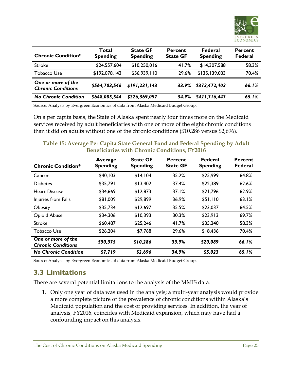

| <b>Chronic Condition*</b>                       | Total<br><b>Spending</b> | <b>State GF</b><br><b>Spending</b> | <b>Percent</b><br><b>State GF</b> | Federal<br><b>Spending</b> | <b>Percent</b><br><b>Federal</b> |
|-------------------------------------------------|--------------------------|------------------------------------|-----------------------------------|----------------------------|----------------------------------|
| Stroke                                          | \$24,557,604             | \$10,250,016                       | 41.7%                             | \$14,307,588               | 58.3%                            |
| <b>Tobacco Use</b>                              | \$192,078,143            | \$56,939,110                       | 29.6%                             | \$135,139,033              | 70.4%                            |
| One or more of the<br><b>Chronic Conditions</b> | \$564,703,546            | \$191, 231, 143                    | 33.9%                             | \$373,472,403              | 66.1%                            |
| <b>No Chronic Condition</b>                     | \$648,085,544            | \$226,369,097                      | 34.9%                             | \$421,716,447              | 65.1%                            |

Source: Analysis by Evergreen Economics of data from Alaska Medicaid Budget Group.

On a per capita basis, the State of Alaska spent nearly four times more on the Medicaid services received by adult beneficiaries with one or more of the eight chronic conditions than it did on adults without one of the chronic conditions (\$10,286 versus \$2,696).

| <b>Chronic Condition*</b>                       | Average<br><b>Spending</b> | <b>State GF</b><br><b>Spending</b> | <b>Percent</b><br><b>State GF</b> | Federal<br><b>Spending</b> | <b>Percent</b><br><b>Federal</b> |
|-------------------------------------------------|----------------------------|------------------------------------|-----------------------------------|----------------------------|----------------------------------|
| Cancer                                          | \$40,103                   | \$14,104                           | 35.2%                             | \$25,999                   | 64.8%                            |
| <b>Diabetes</b>                                 | \$35,791                   | \$13,402                           | 37.4%                             | \$22,389                   | 62.6%                            |
| <b>Heart Disease</b>                            | \$34,669                   | \$12,873                           | 37.1%                             | \$21,796                   | 62.9%                            |
| Injuries from Falls                             | \$81,009                   | \$29,899                           | 36.9%                             | \$51,110                   | 63.1%                            |
| Obesity                                         | \$35,734                   | \$12,697                           | 35.5%                             | \$23,037                   | 64.5%                            |
| <b>Opioid Abuse</b>                             | \$34,306                   | \$10,393                           | 30.3%                             | \$23,913                   | 69.7%                            |
| Stroke                                          | \$60,487                   | \$25,246                           | 41.7%                             | \$35,240                   | 58.3%                            |
| Tobacco Use                                     | \$26,204                   | \$7,768                            | 29.6%                             | \$18,436                   | 70.4%                            |
| One or more of the<br><b>Chronic Conditions</b> | \$30,375                   | \$10,286                           | 33.9%                             | \$20,089                   | 66.1%                            |
| <b>No Chronic Condition</b>                     | \$7,719                    | \$2,696                            | 34.9%                             | \$5,023                    | 65.1%                            |

<span id="page-30-0"></span>**Table 15: Average Per Capita State General Fund and Federal Spending by Adult Beneficiaries with Chronic Conditions, FY2016**

Source: Analysis by Evergreen Economics of data from Alaska Medicaid Budget Group.

# **3.3 Limitations**

There are several potential limitations to the analysis of the MMIS data.

1. Only one year of data was used in the analysis; a multi-year analysis would provide a more complete picture of the prevalence of chronic conditions within Alaska's Medicaid population and the cost of providing services. In addition, the year of analysis, FY2016, coincides with Medicaid expansion, which may have had a confounding impact on this analysis.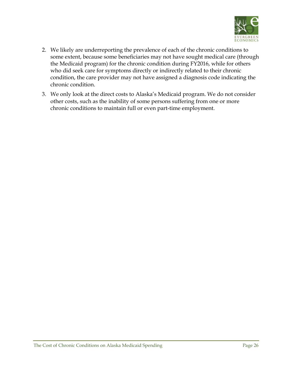

- 2. We likely are underreporting the prevalence of each of the chronic conditions to some extent, because some beneficiaries may not have sought medical care (through the Medicaid program) for the chronic condition during FY2016, while for others who did seek care for symptoms directly or indirectly related to their chronic condition, the care provider may not have assigned a diagnosis code indicating the chronic condition.
- 3. We only look at the direct costs to Alaska's Medicaid program. We do not consider other costs, such as the inability of some persons suffering from one or more chronic conditions to maintain full or even part-time employment.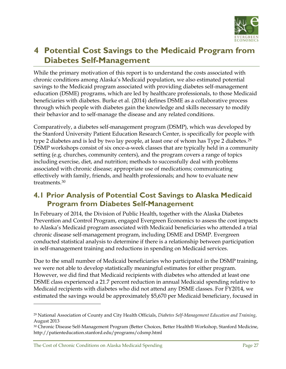

# **4 Potential Cost Savings to the Medicaid Program from Diabetes Self-Management**

While the primary motivation of this report is to understand the costs associated with chronic conditions among Alaska's Medicaid population, we also estimated potential savings to the Medicaid program associated with providing diabetes self-management education (DSME) programs, which are led by healthcare professionals, to those Medicaid beneficiaries with diabetes. Burke et al. (2014) defines DSME as a collaborative process through which people with diabetes gain the knowledge and skills necessary to modify their behavior and to self-manage the disease and any related conditions.

Comparatively, a diabetes self-management program (DSMP), which was developed by the Stanford University Patient Education Research Center, is specifically for people with type 2 diabetes and is led by two lay people, at least one of whom has Type 2 diabetes.<sup>[29](#page-32-0)</sup> DSMP workshops consist of six once-a-week classes that are typically held in a community setting (e.g. churches, community centers), and the program covers a range of topics including exercise, diet, and nutrition; methods to successfully deal with problems associated with chronic disease; appropriate use of medications; communicating effectively with family, friends, and health professionals; and how to evaluate new treatments.[30](#page-32-1)

### **4.1 Prior Analysis of Potential Cost Savings to Alaska Medicaid Program from Diabetes Self-Management**

In February of 2014, the Division of Public Health, together with the Alaska Diabetes Prevention and Control Program, engaged Evergreen Economics to assess the cost impacts to Alaska's Medicaid program associated with Medicaid beneficiaries who attended a trial chronic disease self-management program, including DSME and DSMP. Evergreen conducted statistical analysis to determine if there is a relationship between participation in self-management training and reductions in spending on Medicaid services.

Due to the small number of Medicaid beneficiaries who participated in the DSMP training, we were not able to develop statistically meaningful estimates for either program. However, we did find that Medicaid recipients with diabetes who attended at least one DSME class experienced a 21.7 percent reduction in annual Medicaid spending relative to Medicaid recipients with diabetes who did not attend any DSME classes. For FY2014, we estimated the savings would be approximately \$5,670 per Medicaid beneficiary, focused in

<span id="page-32-0"></span><sup>29</sup> National Association of County and City Health Officials, *Diabetes Self-Management Education and Training*,

<span id="page-32-1"></span>August 2013<br><sup>30</sup> Chronic Disease Self-Management Program (Better Choices, Better Health® Workshop, Stanford Medicine, http://patienteducation.stanford.edu/programs/cdsmp.html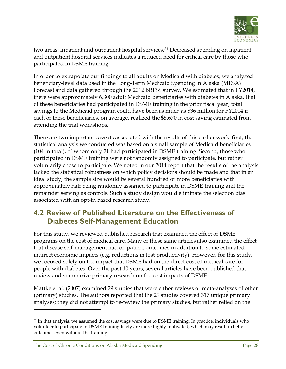

two areas: inpatient and outpatient hospital services.<sup>[31](#page-33-0)</sup> Decreased spending on inpatient and outpatient hospital services indicates a reduced need for critical care by those who participated in DSME training.

In order to extrapolate our findings to all adults on Medicaid with diabetes, we analyzed beneficiary-level data used in the Long-Term Medicaid Spending in Alaska (MESA) Forecast and data gathered through the 2012 BRFSS survey. We estimated that in FY2014, there were approximately 6,300 adult Medicaid beneficiaries with diabetes in Alaska. If all of these beneficiaries had participated in DSME training in the prior fiscal year, total savings to the Medicaid program could have been as much as \$36 million for FY2014 if each of these beneficiaries, on average, realized the \$5,670 in cost saving estimated from attending the trial workshops.

There are two important caveats associated with the results of this earlier work: first, the statistical analysis we conducted was based on a small sample of Medicaid beneficiaries (104 in total), of whom only 21 had participated in DSME training. Second, those who participated in DSME training were not randomly assigned to participate, but rather voluntarily chose to participate. We noted in our 2014 report that the results of the analysis lacked the statistical robustness on which policy decisions should be made and that in an ideal study, the sample size would be several hundred or more beneficiaries with approximately half being randomly assigned to participate in DSME training and the remainder serving as controls. Such a study design would eliminate the selection bias associated with an opt-in based research study.

### **4.2 Review of Published Literature on the Effectiveness of Diabetes Self-Management Education**

For this study, we reviewed published research that examined the effect of DSME programs on the cost of medical care. Many of these same articles also examined the effect that disease self-management had on patient outcomes in addition to some estimated indirect economic impacts (e.g. reductions in lost productivity). However, for this study, we focused solely on the impact that DSME had on the direct cost of medical care for people with diabetes. Over the past 10 years, several articles have been published that review and summarize primary research on the cost impacts of DSME.

Mattke et al. (2007) examined 29 studies that were either reviews or meta-analyses of other (primary) studies. The authors reported that the 29 studies covered 317 unique primary analyses; they did not attempt to re-review the primary studies, but rather relied on the

<span id="page-33-0"></span><sup>&</sup>lt;sup>31</sup> In that analysis, we assumed the cost savings were due to DSME training. In practice, individuals who volunteer to participate in DSME training likely are more highly motivated, which may result in better outcomes even without the training.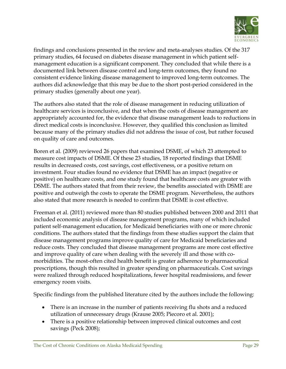

findings and conclusions presented in the review and meta-analyses studies. Of the 317 primary studies, 64 focused on diabetes disease management in which patient selfmanagement education is a significant component. They concluded that while there is a documented link between disease control and long-term outcomes, they found no consistent evidence linking disease management to improved long-term outcomes. The authors did acknowledge that this may be due to the short post-period considered in the primary studies (generally about one year).

The authors also stated that the role of disease management in reducing utilization of healthcare services is inconclusive, and that when the costs of disease management are appropriately accounted for, the evidence that disease management leads to reductions in direct medical costs is inconclusive. However, they qualified this conclusion as limited because many of the primary studies did not address the issue of cost, but rather focused on quality of care and outcomes.

Boren et al. (2009) reviewed 26 papers that examined DSME, of which 23 attempted to measure cost impacts of DSME. Of these 23 studies, 18 reported findings that DSME results in decreased costs, cost savings, cost effectiveness, or a positive return on investment. Four studies found no evidence that DSME has an impact (negative or positive) on healthcare costs, and one study found that healthcare costs are greater with DSME. The authors stated that from their review, the benefits associated with DSME are positive and outweigh the costs to operate the DSME program. Nevertheless, the authors also stated that more research is needed to confirm that DSME is cost effective.

Freeman et al. (2011) reviewed more than 80 studies published between 2000 and 2011 that included economic analysis of disease management programs, many of which included patient self-management education, for Medicaid beneficiaries with one or more chronic conditions. The authors stated that the findings from these studies support the claim that disease management programs improve quality of care for Medicaid beneficiaries and reduce costs. They concluded that disease management programs are more cost effective and improve quality of care when dealing with the severely ill and those with comorbidities. The most-often cited health benefit is greater adherence to pharmaceutical prescriptions, though this resulted in greater spending on pharmaceuticals. Cost savings were realized through reduced hospitalizations, fewer hospital readmissions, and fewer emergency room visits.

Specific findings from the published literature cited by the authors include the following:

- There is an increase in the number of patients receiving flu shots and a reduced utilization of unnecessary drugs (Krause 2005; Piecoro et al. 2001);
- There is a positive relationship between improved clinical outcomes and cost savings (Peck 2008);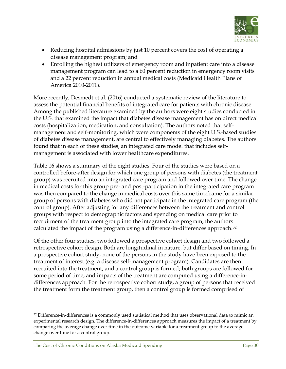

- Reducing hospital admissions by just 10 percent covers the cost of operating a disease management program; and
- Enrolling the highest utilizers of emergency room and inpatient care into a disease management program can lead to a 60 percent reduction in emergency room visits and a 22 percent reduction in annual medical costs (Medicaid Health Plans of America 2010-2011).

More recently, Desmedt et al. (2016) conducted a systematic review of the literature to assess the potential financial benefits of integrated care for patients with chronic disease. Among the published literature examined by the authors were eight studies conducted in the U.S. that examined the impact that diabetes disease management has on direct medical costs (hospitalization, medication, and consultation). The authors noted that selfmanagement and self-monitoring, which were components of the eight U.S.-based studies of diabetes disease management, are central to effectively managing diabetes. The authors found that in each of these studies, an integrated care model that includes selfmanagement is associated with lower healthcare expenditures.

[Table 16](#page-36-0) shows a summary of the eight studies. Four of the studies were based on a controlled before-after design for which one group of persons with diabetes (the treatment group) was recruited into an integrated care program and followed over time. The change in medical costs for this group pre- and post-participation in the integrated care program was then compared to the change in medical costs over this same timeframe for a similar group of persons with diabetes who did not participate in the integrated care program (the control group). After adjusting for any differences between the treatment and control groups with respect to demographic factors and spending on medical care prior to recruitment of the treatment group into the integrated care program, the authors calculated the impact of the program using a difference-in-differences approach[.32](#page-35-0) 

Of the other four studies, two followed a prospective cohort design and two followed a retrospective cohort design. Both are longitudinal in nature, but differ based on timing. In a prospective cohort study, none of the persons in the study have been exposed to the treatment of interest (e.g. a disease self-management program). Candidates are then recruited into the treatment, and a control group is formed; both groups are followed for some period of time, and impacts of the treatment are computed using a difference-indifferences approach. For the retrospective cohort study, a group of persons that received the treatment form the treatment group, then a control group is formed comprised of

<span id="page-35-0"></span><sup>&</sup>lt;sup>32</sup> Difference-in-differences is a commonly used statistical method that uses observational data to mimic an experimental research design. The difference-in-differences approach measures the impact of a treatment by comparing the average change over time in the outcome variable for a treatment group to the average change over time for a control group.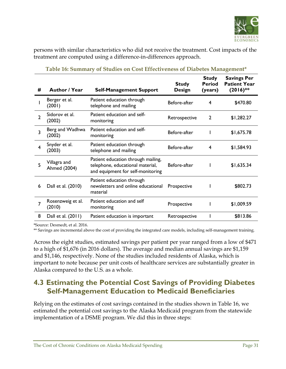

persons with similar characteristics who did not receive the treatment. Cost impacts of the treatment are computed using a difference-in-differences approach.

<span id="page-36-0"></span>

| #            | <b>Author / Year</b>         | <b>Self-Management Support</b>                                                                              | <b>Study</b><br>Design | <b>Study</b><br><b>Period</b><br>(years) | <b>Savings Per</b><br><b>Patient Year</b><br>$(2016)$ ** |
|--------------|------------------------------|-------------------------------------------------------------------------------------------------------------|------------------------|------------------------------------------|----------------------------------------------------------|
|              | Berger et al.<br>(2001)      | Patient education through<br>telephone and mailing                                                          | Before-after           | 4                                        | \$470.80                                                 |
| $\mathbf{2}$ | Sidorov et al.<br>(2002)     | Patient education and self-<br>monitoring                                                                   | Retrospective          | $\overline{2}$                           | \$1,282.27                                               |
| 3            | Berg and Wadhwa<br>(2002)    | Patient education and self-<br>monitoring                                                                   | Before-after           |                                          | \$1,675.78                                               |
| 4            | Snyder et al.<br>(2003)      | Patient education through<br>telephone and mailing                                                          | Before-after           | 4                                        | \$1,584.93                                               |
| 5            | Villagra and<br>Ahmed (2004) | Patient education through mailing,<br>telephone, educational material,<br>and equipment for self-monitoring | Before-after           |                                          | \$1,635.34                                               |
| 6            | Dall et al. (2010)           | Patient education through<br>newsletters and online educational<br>material                                 | Prospective            |                                          | \$802.73                                                 |
| 7            | Rosenzweig et al.<br>(2010)  | Patient education and self<br>monitoring                                                                    | Prospective            |                                          | \$1,009.59                                               |
| 8            | Dall et al. (2011)           | Patient education is important                                                                              | Retrospective          |                                          | \$813.86                                                 |

**Table 16: Summary of Studies on Cost Effectiveness of Diabetes Management\*** 

\*Source: Desmedt, et al. 2016.

\*\* Savings are incremental above the cost of providing the integrated care models, including self-management training.

Across the eight studies, estimated savings per patient per year ranged from a low of \$471 to a high of \$1,676 (in 2016 dollars). The average and median annual savings are \$1,159 and \$1,146, respectively. None of the studies included residents of Alaska, which is important to note because per unit costs of healthcare services are substantially greater in Alaska compared to the U.S. as a whole.

## **4.3 Estimating the Potential Cost Savings of Providing Diabetes Self-Management Education to Medicaid Beneficiaries**

Relying on the estimates of cost savings contained in the studies shown in [Table 16,](#page-36-0) we estimated the potential cost savings to the Alaska Medicaid program from the statewide implementation of a DSME program. We did this in three steps: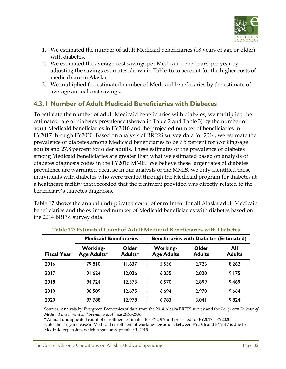

- 1. We estimated the number of adult Medicaid beneficiaries (18 years of age or older) with diabetes.
- 2. We estimated the average cost savings per Medicaid beneficiary per year by adjusting the savings estimates shown in [Table 16](#page-36-0) to account for the higher costs of medical care in Alaska.
- 3. We multiplied the estimated number of Medicaid beneficiaries by the estimate of average annual cost savings.

### **4.3.1 Number of Adult Medicaid Beneficiaries with Diabetes**

To estimate the number of adult Medicaid beneficiaries with diabetes, we multiplied the estimated rate of diabetes prevalence (shown in [Table 2](#page-12-0) and [Table 3\)](#page-13-0) by the number of adult Medicaid beneficiaries in FY2016 and the projected number of beneficiaries in FY2017 through FY2020. Based on analysis of BRFSS survey data for 2014, we estimate the prevalence of diabetes among Medicaid beneficiaries to be 7.5 percent for working-age adults and 27.8 percent for older adults. These estimates of the prevalence of diabetes among Medicaid beneficiaries are greater than what we estimated based on analysis of diabetes diagnosis codes in the FY2016 MMIS. We believe these larger rates of diabetes prevalence are warranted because in our analysis of the MMIS, we only identified those individuals with diabetes who were treated through the Medicaid program for diabetes at a healthcare facility that recorded that the treatment provided was directly related to the beneficiary's diabetes diagnosis.

[Table 17](#page-37-0) shows the annual unduplicated count of enrollment for all Alaska adult Medicaid beneficiaries and the estimated number of Medicaid beneficiaries with diabetes based on the 2014 BRFSS survey data.

<span id="page-37-0"></span>

|                    | <b>Medicaid Beneficiaries</b>  |                  | <b>Beneficiaries with Diabetes (Estimated)</b> |                        |                      |
|--------------------|--------------------------------|------------------|------------------------------------------------|------------------------|----------------------|
| <b>Fiscal Year</b> | <b>Working-</b><br>Age Adults* | Older<br>Adults* | <b>Working-</b><br><b>Age Adults</b>           | Older<br><b>Adults</b> | All<br><b>Adults</b> |
| 2016               | 79,810                         | 11,637           | 5,536                                          | 2,726                  | 8,262                |
| 2017               | 91,624                         | 12,036           | 6,355                                          | 2,820                  | 9,175                |
| 2018               | 94,724                         | 12,373           | 6,570                                          | 2,899                  | 9,469                |
| 2019               | 96,509                         | 12,675           | 6,694                                          | 2,970                  | 9,664                |
| 2020               | 97,788                         | 12,978           | 6,783                                          | 3,041                  | 9,824                |

#### **Table 17: Estimated Count of Adult Medicaid Beneficiaries with Diabetes**

Sources: Analysis by Evergreen Economics of data from the 2014 Alaska BRFSS survey and the *Long-term Forecast of Medicaid Enrollment and Spending in Alaska 2016-2036*.

\* Annual unduplicated count of enrollment estimated for FY2016 and projected for FY2017 – FY2020.

Note: the large increase in Medicaid enrollment of working-age adults between FY2016 and FY2017 is due to Medicaid expansion, which began on September 1, 2015.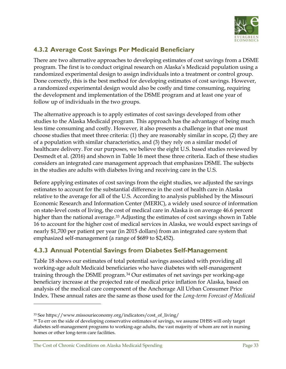

### **4.3.2 Average Cost Savings Per Medicaid Beneficiary**

There are two alternative approaches to developing estimates of cost savings from a DSME program. The first is to conduct original research on Alaska's Medicaid population using a randomized experimental design to assign individuals into a treatment or control group. Done correctly, this is the best method for developing estimates of cost savings. However, a randomized experimental design would also be costly and time consuming, requiring the development and implementation of the DSME program and at least one year of follow up of individuals in the two groups.

The alternative approach is to apply estimates of cost savings developed from other studies to the Alaska Medicaid program. This approach has the advantage of being much less time consuming and costly. However, it also presents a challenge in that one must choose studies that meet three criteria: (1) they are reasonably similar in scope, (2) they are of a population with similar characteristics, and (3) they rely on a similar model of healthcare delivery. For our purposes, we believe the eight U.S. based studies reviewed by Desmedt et al. (2016) and shown in [Table 16](#page-36-0) meet these three criteria. Each of these studies considers an integrated care management approach that emphasizes DSME. The subjects in the studies are adults with diabetes living and receiving care in the U.S.

Before applying estimates of cost savings from the eight studies, we adjusted the savings estimates to account for the substantial difference in the cost of health care in Alaska relative to the average for all of the U.S. According to analysis published by the Missouri Economic Research and Information Center (MERIC), a widely used source of information on state-level costs of living, the cost of medical care in Alaska is on average 46.6 percent higher than the national average.<sup>[33](#page-38-0)</sup> Adjusting the estimates of cost savings shown in Table [16](#page-36-0) to account for the higher cost of medical services in Alaska, we would expect savings of nearly \$1,700 per patient per year (in 2015 dollars) from an integrated care system that emphasized self-management (a range of \$689 to \$2,452).

### **4.3.3 Annual Potential Savings from Diabetes Self-Management**

[Table 18](#page-39-0) shows our estimates of total potential savings associated with providing all working-age adult Medicaid beneficiaries who have diabetes with self-management training through the DSME program[.34](#page-38-1) Our estimates of net savings per working-age beneficiary increase at the projected rate of medical price inflation for Alaska, based on analysis of the medical care component of the Anchorage All Urban Consumer Price Index. These annual rates are the same as those used for the *Long-term Forecast of Medicaid* 

<span id="page-38-0"></span><sup>33</sup> See https://www.missourieconomy.org/indicators/cost\_of\_living/

<span id="page-38-1"></span><sup>&</sup>lt;sup>34</sup> To err on the side of developing conservative estimates of savings, we assume DHSS will only target diabetes self-management programs to working-age adults, the vast majority of whom are not in nursing homes or other long-term care facilities.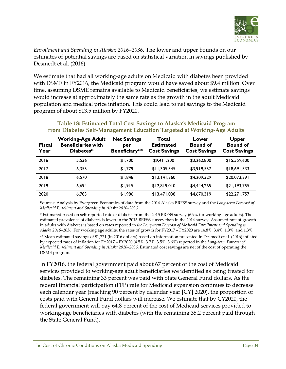

*Enrollment and Spending in Alaska: 2016–2036.* The lower and upper bounds on our estimates of potential savings are based on statistical variation in savings published by Desmedt et al. (2016).

We estimate that had all working-age adults on Medicaid with diabetes been provided with DSME in FY2016, the Medicaid program would have saved about \$9.4 million. Over time, assuming DSME remains available to Medicaid beneficiaries, we estimate savings would increase at approximately the same rate as the growth in the adult Medicaid population and medical price inflation. This could lead to net savings to the Medicaid program of about \$13.5 million by FY2020.

<span id="page-39-0"></span>

| <b>Fiscal</b><br>Year | <b>Working-Age Adult</b><br><b>Beneficiaries with</b><br>Diabetes* | <b>Net Savings</b><br>per<br>Beneficiary** | Total<br><b>Estimated</b><br><b>Cost Savings</b> | Lower<br><b>Bound of</b><br><b>Cost Savings</b> | <b>Upper</b><br><b>Bound of</b><br><b>Cost Savings</b> |
|-----------------------|--------------------------------------------------------------------|--------------------------------------------|--------------------------------------------------|-------------------------------------------------|--------------------------------------------------------|
| 2016                  | 5.536                                                              | \$1,700                                    | \$9,411,200                                      | \$3,262,800                                     | \$15,559,600                                           |
| 2017                  | 6.355                                                              | \$1,779                                    | \$11,305,545                                     | \$3,919,557                                     | \$18,691,533                                           |
| 2018                  | 6.570                                                              | \$1,848                                    | \$12,141,360                                     | \$4,209,329                                     | \$20,073,391                                           |
| 2019                  | 6.694                                                              | \$1,915                                    | \$12,819,010                                     | \$4,444,265                                     | \$21,193,755                                           |
| 2020                  | 6,783                                                              | \$1,986                                    | \$13,471,038                                     | \$4,670,319                                     | \$22,271,757                                           |

#### **Table 18: Estimated Total Cost Savings to Alaska's Medicaid Program from Diabetes Self-Management Education Targeted at Working-Age Adults**

Sources: Analysis by Evergreen Economics of data from the 2014 Alaska BRFSS survey and the *Long-term Forecast of Medicaid Enrollment and Spending in Alaska 2016–2036.*

\* Estimated based on self-reported rate of diabetes from the 2015 BRFSS survey (6.9% for working-age adults). The estimated prevalence of diabetes is lower in the 2015 BRFSS survey than in the 2014 survey. Assumed rate of growth in adults with diabetes is based on rates reported in *the Long-term Forecast of Medicaid Enrollment and Spending in Alaska 2016–2036*. For working age adults, the rates of growth for FY2017 – FY2020 are 14.8%, 3.4%, 1.9%, and 1.3%.

\*\* Mean estimated savings of \$1,771 (in 2016 dollars) based on information presented in Desmedt et al. (2016) inflated by expected rates of inflation for FY2017 – FY2020 (4.5%, 3.7%, 3.5%, 3.6%) reported in the *Long-term Forecast of Medicaid Enrollment and Spending in Alaska 2016–2036*. Estimated cost savings are net of the cost of operating the DSME program.

In FY2016, the federal government paid about 67 percent of the cost of Medicaid services provided to working-age adult beneficiaries we identified as being treated for diabetes. The remaining 33 percent was paid with State General Fund dollars. As the federal financial participation (FFP) rate for Medicaid expansion continues to decrease each calendar year (reaching 90 percent by calendar year [CY] 2020), the proportion of costs paid with General Fund dollars will increase. We estimate that by CY2020, the federal government will pay 64.8 percent of the cost of Medicaid services provided to working-age beneficiaries with diabetes (with the remaining 35.2 percent paid through the State General Fund).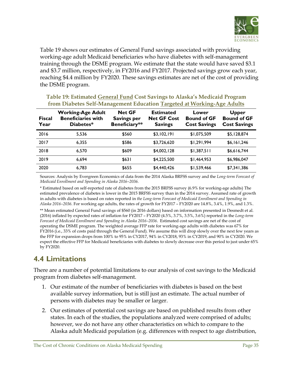

[Table 19](#page-40-0) shows our estimates of General Fund savings associated with providing working-age adult Medicaid beneficiaries who have diabetes with self-management training through the DSME program. We estimate that the state would have saved \$3.1 and \$3.7 million, respectively, in FY2016 and FY2017. Projected savings grow each year, reaching \$4.4 million by FY2020. These savings estimates are net of the cost of providing the DSME program.

| <b>Fiscal</b><br>Year | <b>Working-Age Adult</b><br><b>Beneficiaries with</b><br>Diabetes* | <b>Net GF</b><br><b>Savings per</b><br>Beneficiary** | <b>Estimated</b><br><b>Net GF Cost</b><br><b>Savings</b> | Lower<br><b>Bound of GF</b><br><b>Cost Savings</b> | <b>Upper</b><br><b>Bound of GF</b><br><b>Cost Savings</b> |
|-----------------------|--------------------------------------------------------------------|------------------------------------------------------|----------------------------------------------------------|----------------------------------------------------|-----------------------------------------------------------|
| 2016                  | 5.536                                                              | \$560                                                | \$3,102,191                                              | \$1,075,509                                        | \$5,128,874                                               |
| 2017                  | 6.355                                                              | \$586                                                | \$3,726,620                                              | \$1,291,994                                        | \$6,161,246                                               |
| 2018                  | 6.570                                                              | \$609                                                | \$4,002,128                                              | \$1,387,511                                        | \$6,616,744                                               |
| 2019                  | 6.694                                                              | \$631                                                | \$4,225,500                                              | \$1,464,953                                        | \$6,986,047                                               |
| 2020                  | 6,783                                                              | \$655                                                | \$4,440,426                                              | \$1,539,466                                        | \$7,341,386                                               |

#### <span id="page-40-0"></span>**Table 19: Estimated General Fund Cost Savings to Alaska's Medicaid Program from Diabetes Self-Management Education Targeted at Working-Age Adults**

Sources: Analysis by Evergreen Economics of data from the 2014 Alaska BRFSS survey and the *Long-term Forecast of Medicaid Enrollment and Spending in Alaska 2016–2036.*

\* Estimated based on self-reported rate of diabetes from the 2015 BRFSS survey (6.9% for working-age adults) The estimated prevalence of diabetes is lower in the 2015 BRFSS survey than in the 2014 survey. Assumed rate of growth in adults with diabetes is based on rates reported in *the Long-term Forecast of Medicaid Enrollment and Spending in Alaska 2016–2036*. For working age adults, the rates of growth for FY2017 – FY2020 are 14.8%, 3.4%, 1.9%, and 1.3%.

\*\* Mean estimated General Fund savings of \$560 (in 2016 dollars) based on information presented in Desmedt et al. (2016) inflated by expected rates of inflation for FY2017 – FY2020 (4.5%, 3.7%, 3.5%, 3.6%) reported in the *Long-term Forecast of Medicaid Enrollment and Spending in Alaska 2016–2036*. Estimated cost savings are net of the cost of operating the DSME program. The weighted average FFP rate for working-age adults with diabetes was 67% for FY2016 (i.e., 33% of costs paid through the General Fund). We assume this will drop slowly over the next few years as the FFP for expansion drops from 100% to 95% in CY2017, 94% in CY2018, 93% in CY2019, and 90% in CY2020. We expect the effective FFP for Medicaid beneficiaries with diabetes to slowly decrease over this period to just under 65% by FY2020.

# **4.4 Limitations**

There are a number of potential limitations to our analysis of cost savings to the Medicaid program from diabetes self-management.

- 1. Our estimate of the number of beneficiaries with diabetes is based on the best available survey information, but is still just an estimate. The actual number of persons with diabetes may be smaller or larger.
- 2. Our estimates of potential cost savings are based on published results from other states. In each of the studies, the populations analyzed were comprised of adults; however, we do not have any other characteristics on which to compare to the Alaska adult Medicaid population (e.g. differences with respect to age distribution,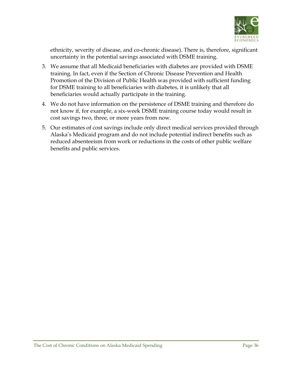

ethnicity, severity of disease, and co-chronic disease). There is, therefore, significant uncertainty in the potential savings associated with DSME training.

- 3. We assume that all Medicaid beneficiaries with diabetes are provided with DSME training. In fact, even if the Section of Chronic Disease Prevention and Health Promotion of the Division of Public Health was provided with sufficient funding for DSME training to all beneficiaries with diabetes, it is unlikely that all beneficiaries would actually participate in the training.
- 4. We do not have information on the persistence of DSME training and therefore do not know if, for example, a six-week DSME training course today would result in cost savings two, three, or more years from now.
- 5. Our estimates of cost savings include only direct medical services provided through Alaska's Medicaid program and do not include potential indirect benefits such as reduced absenteeism from work or reductions in the costs of other public welfare benefits and public services.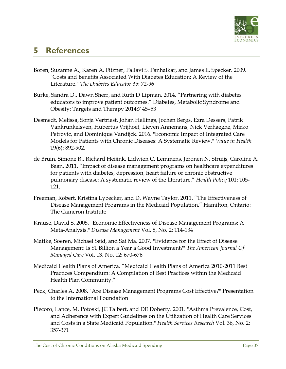

# **5 References**

- Boren, Suzanne A., Karen A. Fitzner, Pallavi S. Panhalkar, and James E. Specker. 2009. "Costs and Benefits Associated With Diabetes Education: A Review of the Literature." *The Diabetes Educator* 35: 72-96
- Burke, Sandra D., Dawn Sherr, and Ruth D Lipman, 2014, "Partnering with diabetes educators to improve patient outcomes." Diabetes, Metabolic Syndrome and Obesity: Targets and Therapy 2014:7 45–53
- Desmedt, Melissa, Sonja Vertriest, Johan Hellings, Jochen Bergs, Ezra Dessers, Patrik Vankrunkelsven, Hubertus Vrijhoef, Lieven Annemans, Nick Verhaeghe, Mirko Petrovic, and Dominique Vandijck. 2016. "Economic Impact of Integrated Care Models for Patients with Chronic Diseases: A Systematic Review." *Value in Health* 19(6): 892-902.
- de Bruin, Simone R., Richard Heijink, Lidwien C. Lemmens, Jeronen N. Struijs, Caroline A. Baan, 2011, "Impact of disease management programs on healthcare expenditures for patients with diabetes, depression, heart failure or chronic obstructive pulmonary disease: A systematic review of the literature." *Health Policy* 101: 105- 121.
- Freeman, Robert, Kristina Lybecker, and D. Wayne Taylor. 2011. "The Effectiveness of Disease Management Programs in the Medicaid Population." Hamilton, Ontario: The Cameron Institute
- Krause, David S. 2005. "Economic Effectiveness of Disease Management Programs: A Meta-Analysis." Disease Management Vol. 8, No. 2: 114-134
- Mattke, Soeren, Michael Seid, and Sai Ma. 2007. "Evidence for the Effect of Disease Management: Is \$1 Billion a Year a Good Investment?" *The American Journal Of Managed Care* Vol. 13, No. 12: 670-676
- Medicaid Health Plans of America. "Medicaid Health Plans of America 2010-2011 Best Practices Compendium: A Compilation of Best Practices within the Medicaid Health Plan Community."
- Peck, Charles A. 2008. "Are Disease Management Programs Cost Effective?" Presentation to the International Foundation
- Piecoro, Lance, M. Potoski, JC Talbert, and DE Doherty. 2001. "Asthma Prevalence, Cost, and Adherence with Expert Guidelines on the Utilization of Health Care Services and Costs in a State Medicaid Population." *Health Services Research* Vol. 36, No. 2: 357-371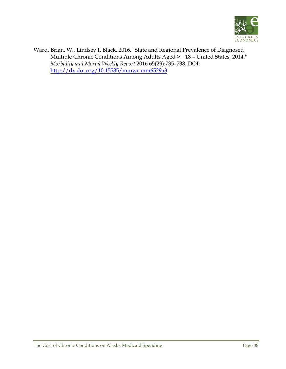

Ward, Brian, W., Lindsey I. Black. 2016. "State and Regional Prevalence of Diagnosed Multiple Chronic Conditions Among Adults Aged >= 18 – United States, 2014." *Morbidity and Mortal Weekly Report* 2016 65(29):735–738. DOI: <http://dx.doi.org/10.15585/mmwr.mm6529a3>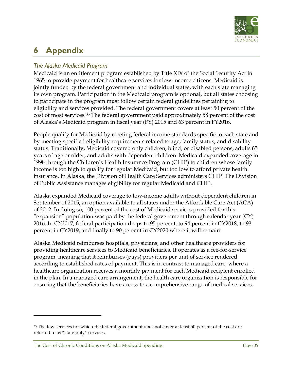

# **6 Appendix**

#### *The Alaska Medicaid Program*

Medicaid is an entitlement program established by Title XIX of the Social Security Act in 1965 to provide payment for healthcare services for low-income citizens. Medicaid is jointly funded by the federal government and individual states, with each state managing its own program. Participation in the Medicaid program is optional, but all states choosing to participate in the program must follow certain federal guidelines pertaining to eligibility and services provided. The federal government covers at least 50 percent of the cost of most services.[35](#page-44-0) The federal government paid approximately 58 percent of the cost of Alaska's Medicaid program in fiscal year (FY) 2015 and 63 percent in FY2016.

People qualify for Medicaid by meeting federal income standards specific to each state and by meeting specified eligibility requirements related to age, family status, and disability status. Traditionally, Medicaid covered only children, blind, or disabled persons, adults 65 years of age or older, and adults with dependent children. Medicaid expanded coverage in 1998 through the Children's Health Insurance Program (CHIP) to children whose family income is too high to qualify for regular Medicaid, but too low to afford private health insurance. In Alaska, the Division of Health Care Services administers CHIP. The Division of Public Assistance manages eligibility for regular Medicaid and CHIP.

Alaska expanded Medicaid coverage to low-income adults without dependent children in September of 2015, an option available to all states under the Affordable Care Act (ACA) of 2012. In doing so, 100 percent of the cost of Medicaid services provided for this "expansion" population was paid by the federal government through calendar year (CY) 2016. In CY2017, federal participation drops to 95 percent, to 94 percent in CY2018, to 93 percent in CY2019, and finally to 90 percent in CY2020 where it will remain.

Alaska Medicaid reimburses hospitals, physicians, and other healthcare providers for providing healthcare services to Medicaid beneficiaries. It operates as a fee-for-service program, meaning that it reimburses (pays) providers per unit of service rendered according to established rates of payment. This is in contrast to managed care, where a healthcare organization receives a monthly payment for each Medicaid recipient enrolled in the plan. In a managed care arrangement, the health care organization is responsible for ensuring that the beneficiaries have access to a comprehensive range of medical services.

<span id="page-44-0"></span><sup>&</sup>lt;sup>35</sup> The few services for which the federal government does not cover at least 50 percent of the cost are referred to as "state-only" services.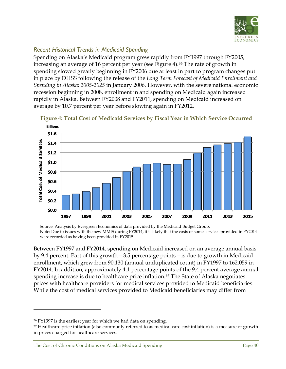

### *Recent Historical Trends in Medicaid Spending*

Spending on Alaska's Medicaid program grew rapidly from FY1997 through FY2005, increasing an average of 16 percent per year (see [Figure 4\)](#page-45-0).<sup>[36](#page-45-1)</sup> The rate of growth in spending slowed greatly beginning in FY2006 due at least in part to program changes put in place by DHSS following the release of the *Long Term Forecast of Medicaid Enrollment and Spending in Alaska: 2005-2025* in January 2006. However, with the severe national economic recession beginning in 2008, enrollment in and spending on Medicaid again increased rapidly in Alaska. Between FY2008 and FY2011, spending on Medicaid increased on average by 10.7 percent per year before slowing again in FY2012.



<span id="page-45-0"></span>

Source: Analysis by Evergreen Economics of data provided by the Medicaid Budget Group. Note: Due to issues with the new MMIS during FY2014, it is likely that the costs of some services provided in FY2014 were recorded as having been provided in FY2015.

Between FY1997 and FY2014, spending on Medicaid increased on an average annual basis by 9.4 percent. Part of this growth—3.5 percentage points—is due to growth in Medicaid enrollment, which grew from 90,130 (annual unduplicated count) in FY1997 to 162,059 in FY2014. In addition, approximately 4.1 percentage points of the 9.4 percent average annual spending increase is due to healthcare price inflation.<sup>[37](#page-45-2)</sup> The State of Alaska negotiates prices with healthcare providers for medical services provided to Medicaid beneficiaries. While the cost of medical services provided to Medicaid beneficiaries may differ from

<span id="page-45-1"></span><sup>36</sup> FY1997 is the earliest year for which we had data on spending.

<span id="page-45-2"></span><sup>&</sup>lt;sup>37</sup> Healthcare price inflation (also commonly referred to as medical care cost inflation) is a measure of growth in prices charged for healthcare services.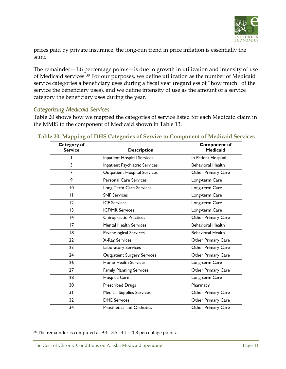

prices paid by private insurance, the long-run trend in price inflation is essentially the same.

The remainder—1.8 percentage points—is due to growth in utilization and intensity of use of Medicaid services.[38](#page-46-1) For our purposes, we define utilization as the number of Medicaid service categories a beneficiary uses during a fiscal year (regardless of "how much" of the service the beneficiary uses), and we define intensity of use as the amount of a service category the beneficiary uses during the year.

#### *Categorizing Medicaid Services*

[Table 20](#page-46-0) shows how we mapped the categories of service listed for each Medicaid claim in the MMIS to the component of Medicaid shown in [Table 13.](#page-28-0)

| <b>Category of</b><br><b>Service</b> | <b>Description</b>                    | <b>Component of</b><br><b>Medicaid</b> |
|--------------------------------------|---------------------------------------|----------------------------------------|
|                                      | <b>Inpatient Hospital Services</b>    | In Patient Hospital                    |
| 3                                    | <b>Inpatient Psychiatric Services</b> | <b>Behavioral Health</b>               |
| 7                                    | <b>Outpatient Hospital Services</b>   | Other Primary Care                     |
| 9                                    | <b>Personal Care Services</b>         | Long-term Care                         |
| 10                                   | Long Term Care Services               | Long-term Care                         |
| П                                    | <b>SNF Services</b>                   | Long-term Care                         |
| 12                                   | <b>ICF Services</b>                   | Long-term Care                         |
| $\overline{13}$                      | <b>ICF/MR Services</b>                | Long-term Care                         |
| 4                                    | <b>Chiropractic Practices</b>         | Other Primary Care                     |
| 17                                   | <b>Mental Health Services</b>         | <b>Behavioral Health</b>               |
| 8                                    | <b>Psychological Services</b>         | <b>Behavioral Health</b>               |
| 22                                   | X-Ray Services                        | Other Primary Care                     |
| 23                                   | Laboratory Services                   | Other Primary Care                     |
| 24                                   | <b>Outpatient Surgery Services</b>    | Other Primary Care                     |
| 26                                   | Home Health Services                  | Long-term Care                         |
| 27                                   | <b>Family Planning Services</b>       | Other Primary Care                     |
| 28                                   | Hospice Care                          | Long-term Care                         |
| 30                                   | <b>Prescribed Drugs</b>               | Pharmacy                               |
| 31                                   | <b>Medical Supplies Services</b>      | Other Primary Care                     |
| 32                                   | <b>DME Services</b>                   | Other Primary Care                     |
| 34                                   | <b>Prosthetics and Orthotics</b>      | Other Primary Care                     |

#### <span id="page-46-0"></span>**Table 20: Mapping of DHS Categories of Service to Component of Medicaid Services**

<span id="page-46-1"></span><sup>38</sup> The remainder is computed as 9.4 - 3.5 - 4.1 = 1.8 percentage points.